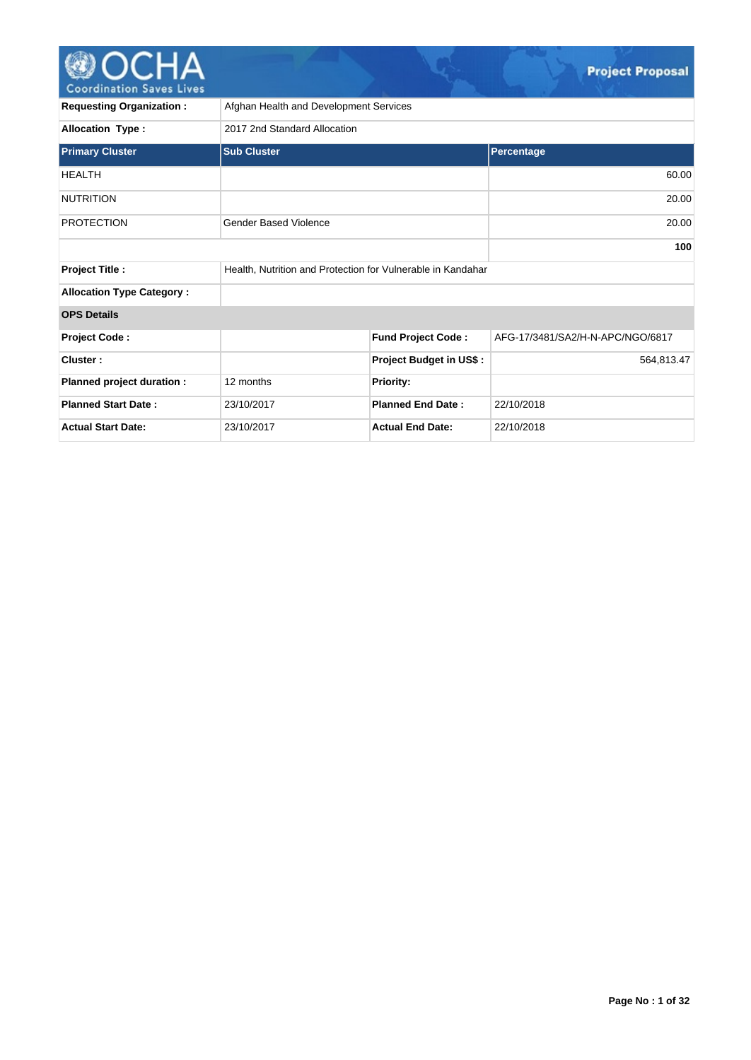

| <b>Requesting Organization:</b>  | Afghan Health and Development Services                      |                                |                                  |  |  |  |  |  |  |  |
|----------------------------------|-------------------------------------------------------------|--------------------------------|----------------------------------|--|--|--|--|--|--|--|
| <b>Allocation Type:</b>          | 2017 2nd Standard Allocation                                |                                |                                  |  |  |  |  |  |  |  |
| <b>Primary Cluster</b>           | <b>Sub Cluster</b>                                          |                                | Percentage                       |  |  |  |  |  |  |  |
| <b>HEALTH</b>                    |                                                             |                                | 60.00                            |  |  |  |  |  |  |  |
| <b>NUTRITION</b>                 |                                                             |                                | 20.00                            |  |  |  |  |  |  |  |
| <b>PROTECTION</b>                | <b>Gender Based Violence</b>                                |                                | 20.00                            |  |  |  |  |  |  |  |
|                                  |                                                             |                                |                                  |  |  |  |  |  |  |  |
| <b>Project Title:</b>            | Health, Nutrition and Protection for Vulnerable in Kandahar |                                |                                  |  |  |  |  |  |  |  |
| <b>Allocation Type Category:</b> |                                                             |                                |                                  |  |  |  |  |  |  |  |
| <b>OPS Details</b>               |                                                             |                                |                                  |  |  |  |  |  |  |  |
| <b>Project Code:</b>             |                                                             | <b>Fund Project Code:</b>      | AFG-17/3481/SA2/H-N-APC/NGO/6817 |  |  |  |  |  |  |  |
| Cluster:                         |                                                             | <b>Project Budget in US\$:</b> | 564,813.47                       |  |  |  |  |  |  |  |
| Planned project duration :       | 12 months                                                   | <b>Priority:</b>               |                                  |  |  |  |  |  |  |  |
| <b>Planned Start Date:</b>       | 23/10/2017                                                  | <b>Planned End Date:</b>       | 22/10/2018                       |  |  |  |  |  |  |  |
| <b>Actual Start Date:</b>        | 23/10/2017                                                  | <b>Actual End Date:</b>        | 22/10/2018                       |  |  |  |  |  |  |  |

NG KA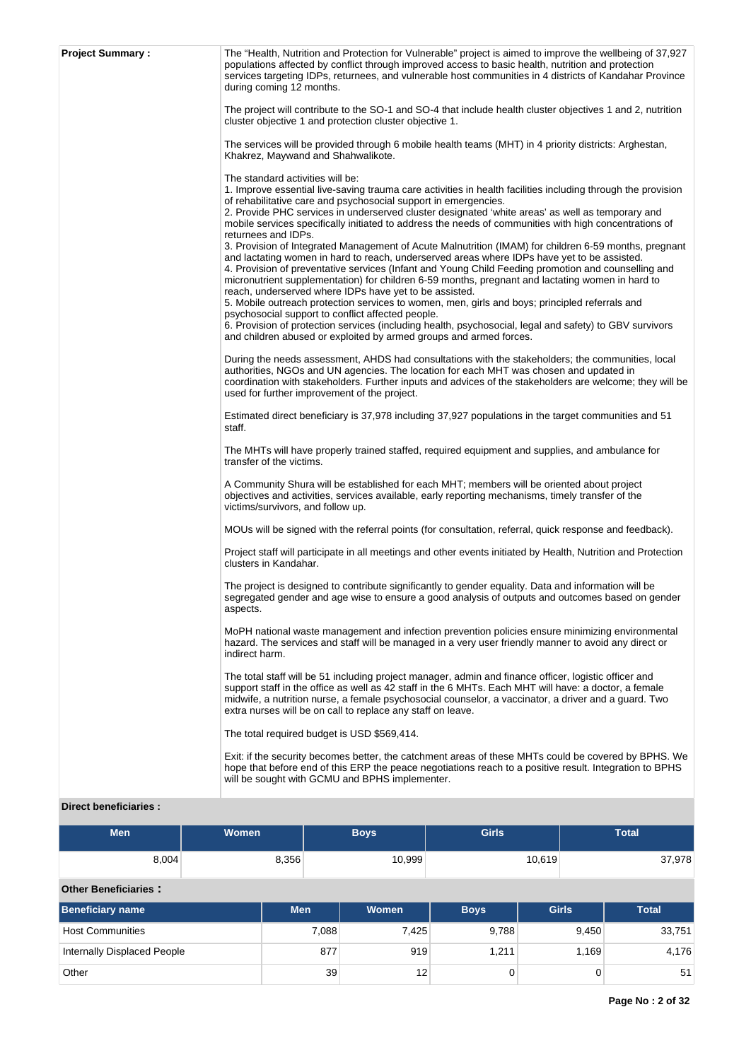| <b>Project Summary:</b> | The "Health, Nutrition and Protection for Vulnerable" project is aimed to improve the wellbeing of 37,927<br>populations affected by conflict through improved access to basic health, nutrition and protection<br>services targeting IDPs, returnees, and vulnerable host communities in 4 districts of Kandahar Province<br>during coming 12 months.<br>The project will contribute to the SO-1 and SO-4 that include health cluster objectives 1 and 2, nutrition<br>cluster objective 1 and protection cluster objective 1.<br>The services will be provided through 6 mobile health teams (MHT) in 4 priority districts: Arghestan,<br>Khakrez, Maywand and Shahwalikote.<br>The standard activities will be:<br>1. Improve essential live-saving trauma care activities in health facilities including through the provision<br>of rehabilitative care and psychosocial support in emergencies.<br>2. Provide PHC services in underserved cluster designated 'white areas' as well as temporary and<br>mobile services specifically initiated to address the needs of communities with high concentrations of<br>returnees and IDPs.<br>3. Provision of Integrated Management of Acute Malnutrition (IMAM) for children 6-59 months, pregnant<br>and lactating women in hard to reach, underserved areas where IDPs have yet to be assisted.<br>4. Provision of preventative services (Infant and Young Child Feeding promotion and counselling and<br>micronutrient supplementation) for children 6-59 months, pregnant and lactating women in hard to<br>reach, underserved where IDPs have yet to be assisted.<br>5. Mobile outreach protection services to women, men, girls and boys; principled referrals and<br>psychosocial support to conflict affected people.<br>6. Provision of protection services (including health, psychosocial, legal and safety) to GBV survivors<br>and children abused or exploited by armed groups and armed forces.<br>During the needs assessment, AHDS had consultations with the stakeholders; the communities, local<br>authorities, NGOs and UN agencies. The location for each MHT was chosen and updated in<br>coordination with stakeholders. Further inputs and advices of the stakeholders are welcome; they will be<br>used for further improvement of the project.<br>Estimated direct beneficiary is 37,978 including 37,927 populations in the target communities and 51 |
|-------------------------|------------------------------------------------------------------------------------------------------------------------------------------------------------------------------------------------------------------------------------------------------------------------------------------------------------------------------------------------------------------------------------------------------------------------------------------------------------------------------------------------------------------------------------------------------------------------------------------------------------------------------------------------------------------------------------------------------------------------------------------------------------------------------------------------------------------------------------------------------------------------------------------------------------------------------------------------------------------------------------------------------------------------------------------------------------------------------------------------------------------------------------------------------------------------------------------------------------------------------------------------------------------------------------------------------------------------------------------------------------------------------------------------------------------------------------------------------------------------------------------------------------------------------------------------------------------------------------------------------------------------------------------------------------------------------------------------------------------------------------------------------------------------------------------------------------------------------------------------------------------------------------------------------------------------------------------------------------------------------------------------------------------------------------------------------------------------------------------------------------------------------------------------------------------------------------------------------------------------------------------------------------------------------------------------------------------------------------------------------------------------------------------------------------------------------------|
|                         | staff.<br>The MHTs will have properly trained staffed, required equipment and supplies, and ambulance for<br>transfer of the victims.<br>A Community Shura will be established for each MHT; members will be oriented about project                                                                                                                                                                                                                                                                                                                                                                                                                                                                                                                                                                                                                                                                                                                                                                                                                                                                                                                                                                                                                                                                                                                                                                                                                                                                                                                                                                                                                                                                                                                                                                                                                                                                                                                                                                                                                                                                                                                                                                                                                                                                                                                                                                                                |
|                         | objectives and activities, services available, early reporting mechanisms, timely transfer of the<br>victims/survivors, and follow up.<br>MOUs will be signed with the referral points (for consultation, referral, quick response and feedback).                                                                                                                                                                                                                                                                                                                                                                                                                                                                                                                                                                                                                                                                                                                                                                                                                                                                                                                                                                                                                                                                                                                                                                                                                                                                                                                                                                                                                                                                                                                                                                                                                                                                                                                                                                                                                                                                                                                                                                                                                                                                                                                                                                                  |
|                         | Project staff will participate in all meetings and other events initiated by Health, Nutrition and Protection<br>clusters in Kandahar.                                                                                                                                                                                                                                                                                                                                                                                                                                                                                                                                                                                                                                                                                                                                                                                                                                                                                                                                                                                                                                                                                                                                                                                                                                                                                                                                                                                                                                                                                                                                                                                                                                                                                                                                                                                                                                                                                                                                                                                                                                                                                                                                                                                                                                                                                             |
|                         | The project is designed to contribute significantly to gender equality. Data and information will be<br>segregated gender and age wise to ensure a good analysis of outputs and outcomes based on gender<br>aspects.                                                                                                                                                                                                                                                                                                                                                                                                                                                                                                                                                                                                                                                                                                                                                                                                                                                                                                                                                                                                                                                                                                                                                                                                                                                                                                                                                                                                                                                                                                                                                                                                                                                                                                                                                                                                                                                                                                                                                                                                                                                                                                                                                                                                               |
|                         | MoPH national waste management and infection prevention policies ensure minimizing environmental<br>hazard. The services and staff will be managed in a very user friendly manner to avoid any direct or<br>indirect harm.                                                                                                                                                                                                                                                                                                                                                                                                                                                                                                                                                                                                                                                                                                                                                                                                                                                                                                                                                                                                                                                                                                                                                                                                                                                                                                                                                                                                                                                                                                                                                                                                                                                                                                                                                                                                                                                                                                                                                                                                                                                                                                                                                                                                         |
|                         | The total staff will be 51 including project manager, admin and finance officer, logistic officer and<br>support staff in the office as well as 42 staff in the 6 MHTs. Each MHT will have: a doctor, a female<br>midwife, a nutrition nurse, a female psychosocial counselor, a vaccinator, a driver and a guard. Two<br>extra nurses will be on call to replace any staff on leave.                                                                                                                                                                                                                                                                                                                                                                                                                                                                                                                                                                                                                                                                                                                                                                                                                                                                                                                                                                                                                                                                                                                                                                                                                                                                                                                                                                                                                                                                                                                                                                                                                                                                                                                                                                                                                                                                                                                                                                                                                                              |
|                         | The total required budget is USD \$569,414.                                                                                                                                                                                                                                                                                                                                                                                                                                                                                                                                                                                                                                                                                                                                                                                                                                                                                                                                                                                                                                                                                                                                                                                                                                                                                                                                                                                                                                                                                                                                                                                                                                                                                                                                                                                                                                                                                                                                                                                                                                                                                                                                                                                                                                                                                                                                                                                        |
|                         | Exit: if the security becomes better, the catchment areas of these MHTs could be covered by BPHS. We<br>hope that before end of this ERP the peace negotiations reach to a positive result. Integration to BPHS<br>will be sought with GCMU and BPHS implementer.                                                                                                                                                                                                                                                                                                                                                                                                                                                                                                                                                                                                                                                                                                                                                                                                                                                                                                                                                                                                                                                                                                                                                                                                                                                                                                                                                                                                                                                                                                                                                                                                                                                                                                                                                                                                                                                                                                                                                                                                                                                                                                                                                                  |
| Diroct bonoficiarios    |                                                                                                                                                                                                                                                                                                                                                                                                                                                                                                                                                                                                                                                                                                                                                                                                                                                                                                                                                                                                                                                                                                                                                                                                                                                                                                                                                                                                                                                                                                                                                                                                                                                                                                                                                                                                                                                                                                                                                                                                                                                                                                                                                                                                                                                                                                                                                                                                                                    |

# **Direct beneficiaries :**

| <b>Men</b> | <b>Women</b> | <b>Girls</b><br><b>Boys</b> |        | Total  |
|------------|--------------|-----------------------------|--------|--------|
| 8,004      | 8,356        | 10,999                      | 10,619 | 37,978 |

# **Other Beneficiaries :**

| <b>Beneficiary name</b>     | <b>Men</b> | <b>Women</b> | <b>Boys</b> | <b>Girls</b> | <b>Total</b> |
|-----------------------------|------------|--------------|-------------|--------------|--------------|
| <b>Host Communities</b>     | 7,088      | 7,425        | 9.788       | 9,450        | 33,751       |
| Internally Displaced People | 877        | 919          | 1,211       | 1.169        | 4,176        |
| Other                       | 39         | 12           |             |              | 51           |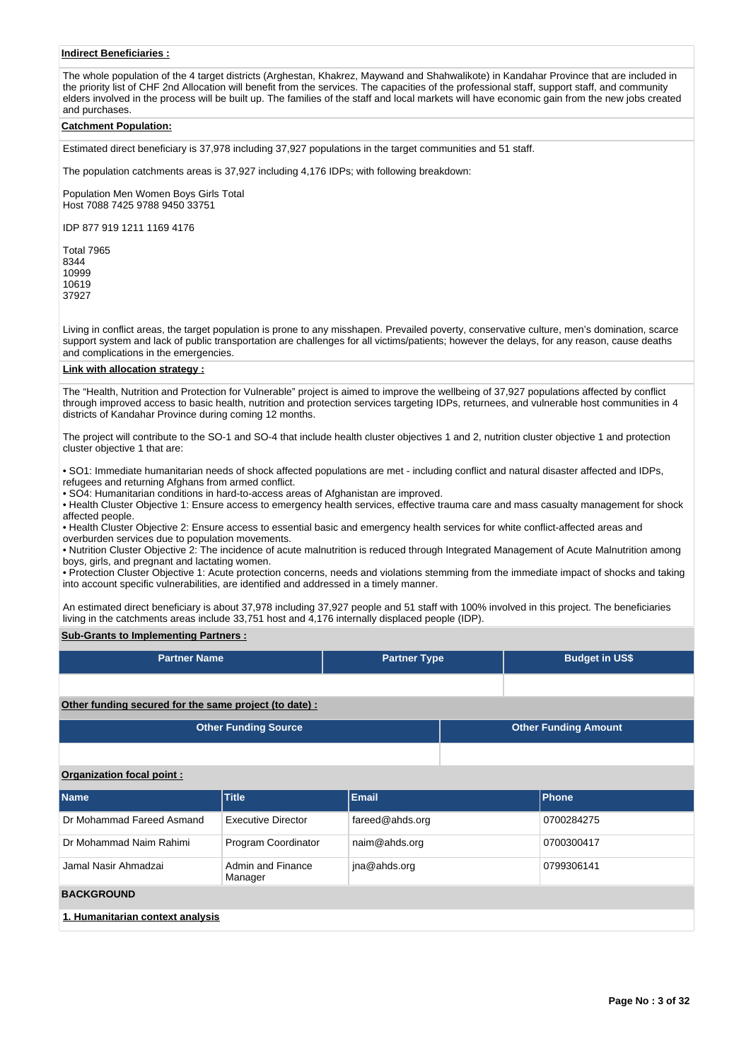# **Indirect Beneficiaries :**

The whole population of the 4 target districts (Arghestan, Khakrez, Maywand and Shahwalikote) in Kandahar Province that are included in the priority list of CHF 2nd Allocation will benefit from the services. The capacities of the professional staff, support staff, and community elders involved in the process will be built up. The families of the staff and local markets will have economic gain from the new jobs created and purchases.

### **Catchment Population:**

Estimated direct beneficiary is 37,978 including 37,927 populations in the target communities and 51 staff.

The population catchments areas is 37,927 including 4,176 IDPs; with following breakdown:

Population Men Women Boys Girls Total Host 7088 7425 9788 9450 33751

IDP 877 919 1211 1169 4176

Living in conflict areas, the target population is prone to any misshapen. Prevailed poverty, conservative culture, men's domination, scarce support system and lack of public transportation are challenges for all victims/patients; however the delays, for any reason, cause deaths and complications in the emergencies.

## **Link with allocation strategy :**

The "Health, Nutrition and Protection for Vulnerable" project is aimed to improve the wellbeing of 37,927 populations affected by conflict through improved access to basic health, nutrition and protection services targeting IDPs, returnees, and vulnerable host communities in 4 districts of Kandahar Province during coming 12 months.

The project will contribute to the SO-1 and SO-4 that include health cluster objectives 1 and 2, nutrition cluster objective 1 and protection cluster objective 1 that are:

• SO1: Immediate humanitarian needs of shock affected populations are met - including conflict and natural disaster affected and IDPs, refugees and returning Afghans from armed conflict.

• SO4: Humanitarian conditions in hard-to-access areas of Afghanistan are improved.

• Health Cluster Objective 1: Ensure access to emergency health services, effective trauma care and mass casualty management for shock affected people.

• Health Cluster Objective 2: Ensure access to essential basic and emergency health services for white conflict-affected areas and overburden services due to population movements.

• Nutrition Cluster Objective 2: The incidence of acute malnutrition is reduced through Integrated Management of Acute Malnutrition among boys, girls, and pregnant and lactating women.

• Protection Cluster Objective 1: Acute protection concerns, needs and violations stemming from the immediate impact of shocks and taking into account specific vulnerabilities, are identified and addressed in a timely manner.

An estimated direct beneficiary is about 37,978 including 37,927 people and 51 staff with 100% involved in this project. The beneficiaries living in the catchments areas include 33,751 host and 4,176 internally displaced people (IDP).

## **Sub-Grants to Implementing Partners :**

| <b>Partner Name</b>                                   |                              | <b>Partner Type</b> |  | <b>Budget in US\$</b>       |
|-------------------------------------------------------|------------------------------|---------------------|--|-----------------------------|
|                                                       |                              |                     |  |                             |
| Other funding secured for the same project (to date): |                              |                     |  |                             |
| <b>Other Funding Source</b>                           |                              |                     |  | <b>Other Funding Amount</b> |
|                                                       |                              |                     |  |                             |
| Organization focal point:                             |                              |                     |  |                             |
| <b>Name</b>                                           | <b>Title</b>                 | <b>Email</b>        |  | Phone                       |
| Dr Mohammad Fareed Asmand                             | <b>Executive Director</b>    | fareed@ahds.org     |  | 0700284275                  |
| Dr Mohammad Naim Rahimi                               | Program Coordinator          | naim@ahds.org       |  | 0700300417                  |
| Jamal Nasir Ahmadzai                                  | Admin and Finance<br>Manager | jna@ahds.org        |  | 0799306141                  |
| <b>BACKGROUND</b>                                     |                              |                     |  |                             |
| 1. Humanitarian context analysis                      |                              |                     |  |                             |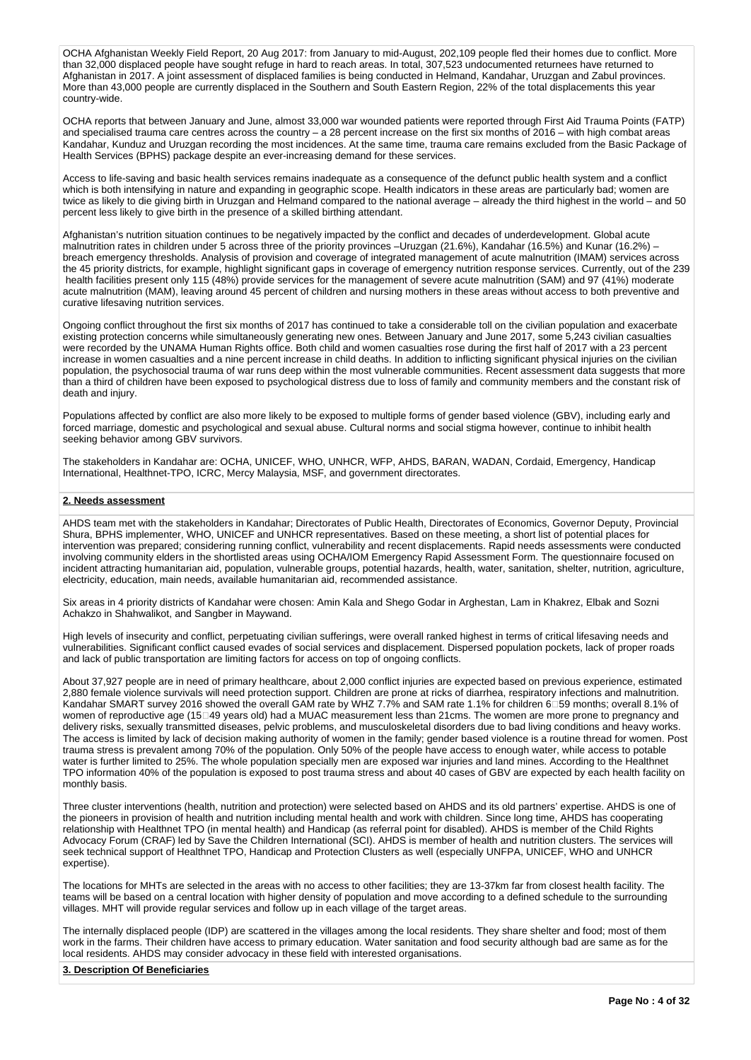OCHA Afghanistan Weekly Field Report, 20 Aug 2017: from January to mid-August, 202,109 people fled their homes due to conflict. More than 32,000 displaced people have sought refuge in hard to reach areas. In total, 307,523 undocumented returnees have returned to Afghanistan in 2017. A joint assessment of displaced families is being conducted in Helmand, Kandahar, Uruzgan and Zabul provinces. More than 43,000 people are currently displaced in the Southern and South Eastern Region, 22% of the total displacements this year country-wide.

OCHA reports that between January and June, almost 33,000 war wounded patients were reported through First Aid Trauma Points (FATP) and specialised trauma care centres across the country – a 28 percent increase on the first six months of 2016 – with high combat areas Kandahar, Kunduz and Uruzgan recording the most incidences. At the same time, trauma care remains excluded from the Basic Package of Health Services (BPHS) package despite an ever-increasing demand for these services.

Access to life-saving and basic health services remains inadequate as a consequence of the defunct public health system and a conflict which is both intensifying in nature and expanding in geographic scope. Health indicators in these areas are particularly bad; women are twice as likely to die giving birth in Uruzgan and Helmand compared to the national average – already the third highest in the world – and 50 percent less likely to give birth in the presence of a skilled birthing attendant.

Afghanistan's nutrition situation continues to be negatively impacted by the conflict and decades of underdevelopment. Global acute malnutrition rates in children under 5 across three of the priority provinces –Uruzgan (21.6%), Kandahar (16.5%) and Kunar (16.2%) breach emergency thresholds. Analysis of provision and coverage of integrated management of acute malnutrition (IMAM) services across the 45 priority districts, for example, highlight significant gaps in coverage of emergency nutrition response services. Currently, out of the 239 health facilities present only 115 (48%) provide services for the management of severe acute malnutrition (SAM) and 97 (41%) moderate acute malnutrition (MAM), leaving around 45 percent of children and nursing mothers in these areas without access to both preventive and curative lifesaving nutrition services.

Ongoing conflict throughout the first six months of 2017 has continued to take a considerable toll on the civilian population and exacerbate existing protection concerns while simultaneously generating new ones. Between January and June 2017, some 5,243 civilian casualties were recorded by the UNAMA Human Rights office. Both child and women casualties rose during the first half of 2017 with a 23 percent increase in women casualties and a nine percent increase in child deaths. In addition to inflicting significant physical injuries on the civilian population, the psychosocial trauma of war runs deep within the most vulnerable communities. Recent assessment data suggests that more than a third of children have been exposed to psychological distress due to loss of family and community members and the constant risk of death and injury.

Populations affected by conflict are also more likely to be exposed to multiple forms of gender based violence (GBV), including early and forced marriage, domestic and psychological and sexual abuse. Cultural norms and social stigma however, continue to inhibit health seeking behavior among GBV survivors.

The stakeholders in Kandahar are: OCHA, UNICEF, WHO, UNHCR, WFP, AHDS, BARAN, WADAN, Cordaid, Emergency, Handicap International, Healthnet-TPO, ICRC, Mercy Malaysia, MSF, and government directorates.

# **2. Needs assessment**

AHDS team met with the stakeholders in Kandahar; Directorates of Public Health, Directorates of Economics, Governor Deputy, Provincial Shura, BPHS implementer, WHO, UNICEF and UNHCR representatives. Based on these meeting, a short list of potential places for intervention was prepared; considering running conflict, vulnerability and recent displacements. Rapid needs assessments were conducted involving community elders in the shortlisted areas using OCHA/IOM Emergency Rapid Assessment Form. The questionnaire focused on incident attracting humanitarian aid, population, vulnerable groups, potential hazards, health, water, sanitation, shelter, nutrition, agriculture, electricity, education, main needs, available humanitarian aid, recommended assistance.

Six areas in 4 priority districts of Kandahar were chosen: Amin Kala and Shego Godar in Arghestan, Lam in Khakrez, Elbak and Sozni Achakzo in Shahwalikot, and Sangber in Maywand.

High levels of insecurity and conflict, perpetuating civilian sufferings, were overall ranked highest in terms of critical lifesaving needs and vulnerabilities. Significant conflict caused evades of social services and displacement. Dispersed population pockets, lack of proper roads and lack of public transportation are limiting factors for access on top of ongoing conflicts.

About 37,927 people are in need of primary healthcare, about 2,000 conflict injuries are expected based on previous experience, estimated 2,880 female violence survivals will need protection support. Children are prone at ricks of diarrhea, respiratory infections and malnutrition. Kandahar SMART survey 2016 showed the overall GAM rate by WHZ 7.7% and SAM rate 1.1% for children 6159 months; overall 8.1% of women of reproductive age (15<sup>[14]</sup> years old) had a MUAC measurement less than 21cms. The women are more prone to pregnancy and delivery risks, sexually transmitted diseases, pelvic problems, and musculoskeletal disorders due to bad living conditions and heavy works. The access is limited by lack of decision making authority of women in the family; gender based violence is a routine thread for women. Post trauma stress is prevalent among 70% of the population. Only 50% of the people have access to enough water, while access to potable water is further limited to 25%. The whole population specially men are exposed war injuries and land mines. According to the Healthnet TPO information 40% of the population is exposed to post trauma stress and about 40 cases of GBV are expected by each health facility on monthly basis.

Three cluster interventions (health, nutrition and protection) were selected based on AHDS and its old partners' expertise. AHDS is one of the pioneers in provision of health and nutrition including mental health and work with children. Since long time, AHDS has cooperating relationship with Healthnet TPO (in mental health) and Handicap (as referral point for disabled). AHDS is member of the Child Rights Advocacy Forum (CRAF) led by Save the Children International (SCI). AHDS is member of health and nutrition clusters. The services will seek technical support of Healthnet TPO, Handicap and Protection Clusters as well (especially UNFPA, UNICEF, WHO and UNHCR expertise).

The locations for MHTs are selected in the areas with no access to other facilities; they are 13-37km far from closest health facility. The teams will be based on a central location with higher density of population and move according to a defined schedule to the surrounding villages. MHT will provide regular services and follow up in each village of the target areas.

The internally displaced people (IDP) are scattered in the villages among the local residents. They share shelter and food; most of them work in the farms. Their children have access to primary education. Water sanitation and food security although bad are same as for the local residents. AHDS may consider advocacy in these field with interested organisations.

### **3. Description Of Beneficiaries**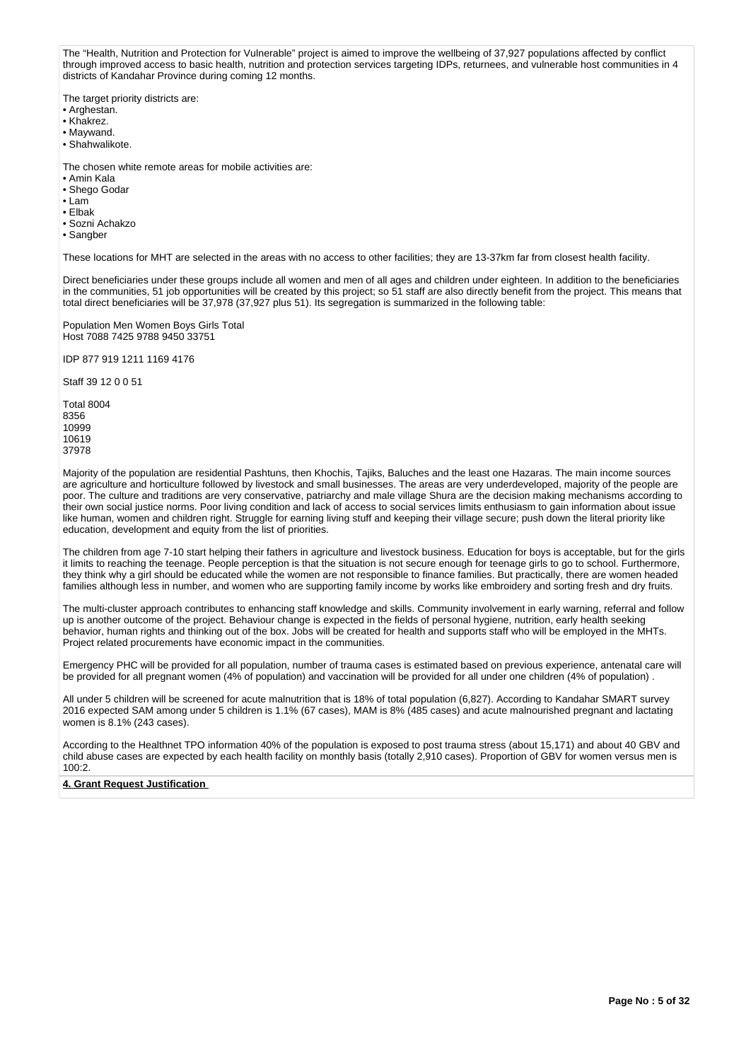The "Health, Nutrition and Protection for Vulnerable" project is aimed to improve the wellbeing of 37,927 populations affected by conflict through improved access to basic health, nutrition and protection services targeting IDPs, returnees, and vulnerable host communities in 4 districts of Kandahar Province during coming 12 months.

The target priority districts are:

- Arghestan.
- Khakrez.
- Maywand.
- Shahwalikote.

The chosen white remote areas for mobile activities are:

- Amin Kala
- Shego Godar
- Lam
- Elbak
- Sozni Achakzo
- Sangber

These locations for MHT are selected in the areas with no access to other facilities; they are 13-37km far from closest health facility.

Direct beneficiaries under these groups include all women and men of all ages and children under eighteen. In addition to the beneficiaries in the communities, 51 job opportunities will be created by this project; so 51 staff are also directly benefit from the project. This means that total direct beneficiaries will be 37,978 (37,927 plus 51). Its segregation is summarized in the following table:

Population Men Women Boys Girls Total Host 7088 7425 9788 9450 33751

IDP 877 919 1211 1169 4176

Staff 39 12 0 0 51

Majority of the population are residential Pashtuns, then Khochis, Tajiks, Baluches and the least one Hazaras. The main income sources are agriculture and horticulture followed by livestock and small businesses. The areas are very underdeveloped, majority of the people are poor. The culture and traditions are very conservative, patriarchy and male village Shura are the decision making mechanisms according to their own social justice norms. Poor living condition and lack of access to social services limits enthusiasm to gain information about issue like human, women and children right. Struggle for earning living stuff and keeping their village secure; push down the literal priority like education, development and equity from the list of priorities.

The children from age 7-10 start helping their fathers in agriculture and livestock business. Education for boys is acceptable, but for the girls it limits to reaching the teenage. People perception is that the situation is not secure enough for teenage girls to go to school. Furthermore, they think why a girl should be educated while the women are not responsible to finance families. But practically, there are women headed families although less in number, and women who are supporting family income by works like embroidery and sorting fresh and dry fruits.

The multi-cluster approach contributes to enhancing staff knowledge and skills. Community involvement in early warning, referral and follow up is another outcome of the project. Behaviour change is expected in the fields of personal hygiene, nutrition, early health seeking behavior, human rights and thinking out of the box. Jobs will be created for health and supports staff who will be employed in the MHTs. Project related procurements have economic impact in the communities.

Emergency PHC will be provided for all population, number of trauma cases is estimated based on previous experience, antenatal care will be provided for all pregnant women (4% of population) and vaccination will be provided for all under one children (4% of population) .

All under 5 children will be screened for acute malnutrition that is 18% of total population (6,827). According to Kandahar SMART survey 2016 expected SAM among under 5 children is 1.1% (67 cases), MAM is 8% (485 cases) and acute malnourished pregnant and lactating women is 8.1% (243 cases).

According to the Healthnet TPO information 40% of the population is exposed to post trauma stress (about 15,171) and about 40 GBV and child abuse cases are expected by each health facility on monthly basis (totally 2,910 cases). Proportion of GBV for women versus men is 100:2.

# **4. Grant Request Justification**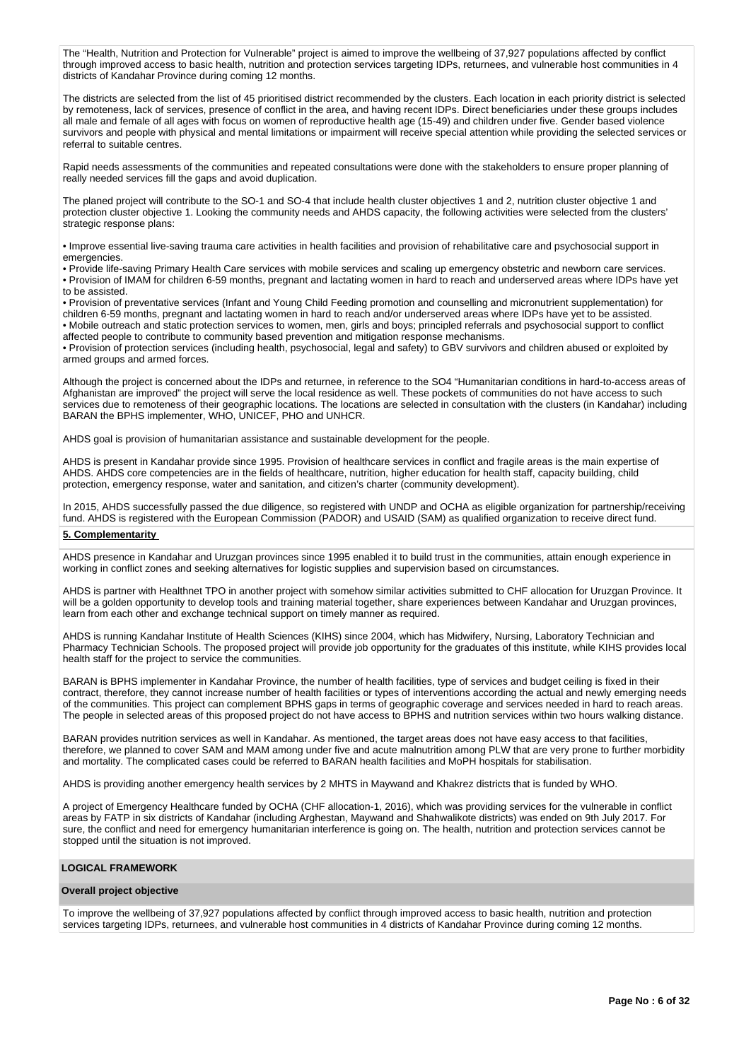The "Health, Nutrition and Protection for Vulnerable" project is aimed to improve the wellbeing of 37,927 populations affected by conflict through improved access to basic health, nutrition and protection services targeting IDPs, returnees, and vulnerable host communities in 4 districts of Kandahar Province during coming 12 months.

The districts are selected from the list of 45 prioritised district recommended by the clusters. Each location in each priority district is selected by remoteness, lack of services, presence of conflict in the area, and having recent IDPs. Direct beneficiaries under these groups includes all male and female of all ages with focus on women of reproductive health age (15-49) and children under five. Gender based violence survivors and people with physical and mental limitations or impairment will receive special attention while providing the selected services or referral to suitable centres.

Rapid needs assessments of the communities and repeated consultations were done with the stakeholders to ensure proper planning of really needed services fill the gaps and avoid duplication.

The planed project will contribute to the SO-1 and SO-4 that include health cluster objectives 1 and 2, nutrition cluster objective 1 and protection cluster objective 1. Looking the community needs and AHDS capacity, the following activities were selected from the clusters' strategic response plans:

• Improve essential live-saving trauma care activities in health facilities and provision of rehabilitative care and psychosocial support in emergencies.

• Provide life-saving Primary Health Care services with mobile services and scaling up emergency obstetric and newborn care services. • Provision of IMAM for children 6-59 months, pregnant and lactating women in hard to reach and underserved areas where IDPs have yet to be assisted.

• Provision of preventative services (Infant and Young Child Feeding promotion and counselling and micronutrient supplementation) for children 6-59 months, pregnant and lactating women in hard to reach and/or underserved areas where IDPs have yet to be assisted. • Mobile outreach and static protection services to women, men, girls and boys; principled referrals and psychosocial support to conflict affected people to contribute to community based prevention and mitigation response mechanisms.

• Provision of protection services (including health, psychosocial, legal and safety) to GBV survivors and children abused or exploited by armed groups and armed forces.

Although the project is concerned about the IDPs and returnee, in reference to the SO4 "Humanitarian conditions in hard-to-access areas of Afghanistan are improved" the project will serve the local residence as well. These pockets of communities do not have access to such services due to remoteness of their geographic locations. The locations are selected in consultation with the clusters (in Kandahar) including BARAN the BPHS implementer, WHO, UNICEF, PHO and UNHCR.

AHDS goal is provision of humanitarian assistance and sustainable development for the people.

AHDS is present in Kandahar provide since 1995. Provision of healthcare services in conflict and fragile areas is the main expertise of AHDS. AHDS core competencies are in the fields of healthcare, nutrition, higher education for health staff, capacity building, child protection, emergency response, water and sanitation, and citizen's charter (community development).

In 2015, AHDS successfully passed the due diligence, so registered with UNDP and OCHA as eligible organization for partnership/receiving fund. AHDS is registered with the European Commission (PADOR) and USAID (SAM) as qualified organization to receive direct fund.

## **5. Complementarity**

AHDS presence in Kandahar and Uruzgan provinces since 1995 enabled it to build trust in the communities, attain enough experience in working in conflict zones and seeking alternatives for logistic supplies and supervision based on circumstances.

AHDS is partner with Healthnet TPO in another project with somehow similar activities submitted to CHF allocation for Uruzgan Province. It will be a golden opportunity to develop tools and training material together, share experiences between Kandahar and Uruzgan provinces, learn from each other and exchange technical support on timely manner as required.

AHDS is running Kandahar Institute of Health Sciences (KIHS) since 2004, which has Midwifery, Nursing, Laboratory Technician and Pharmacy Technician Schools. The proposed project will provide job opportunity for the graduates of this institute, while KIHS provides local health staff for the project to service the communities.

BARAN is BPHS implementer in Kandahar Province, the number of health facilities, type of services and budget ceiling is fixed in their contract, therefore, they cannot increase number of health facilities or types of interventions according the actual and newly emerging needs of the communities. This project can complement BPHS gaps in terms of geographic coverage and services needed in hard to reach areas. The people in selected areas of this proposed project do not have access to BPHS and nutrition services within two hours walking distance.

BARAN provides nutrition services as well in Kandahar. As mentioned, the target areas does not have easy access to that facilities, therefore, we planned to cover SAM and MAM among under five and acute malnutrition among PLW that are very prone to further morbidity and mortality. The complicated cases could be referred to BARAN health facilities and MoPH hospitals for stabilisation.

AHDS is providing another emergency health services by 2 MHTS in Maywand and Khakrez districts that is funded by WHO.

A project of Emergency Healthcare funded by OCHA (CHF allocation-1, 2016), which was providing services for the vulnerable in conflict areas by FATP in six districts of Kandahar (including Arghestan, Maywand and Shahwalikote districts) was ended on 9th July 2017. For sure, the conflict and need for emergency humanitarian interference is going on. The health, nutrition and protection services cannot be stopped until the situation is not improved.

# **LOGICAL FRAMEWORK**

### **Overall project objective**

To improve the wellbeing of 37,927 populations affected by conflict through improved access to basic health, nutrition and protection services targeting IDPs, returnees, and vulnerable host communities in 4 districts of Kandahar Province during coming 12 months.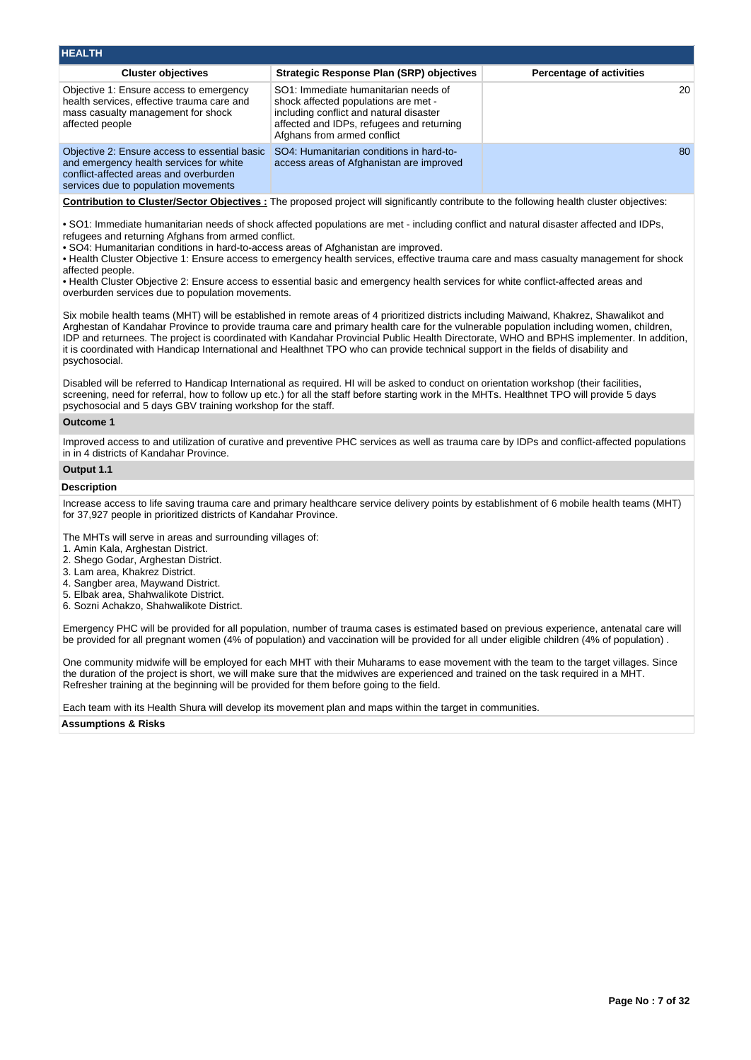| <b>HEALTH</b>                                                                                                                                                              |                                                                                                                                                                                                     |                                 |  |  |  |  |  |  |  |  |
|----------------------------------------------------------------------------------------------------------------------------------------------------------------------------|-----------------------------------------------------------------------------------------------------------------------------------------------------------------------------------------------------|---------------------------------|--|--|--|--|--|--|--|--|
| <b>Cluster objectives</b>                                                                                                                                                  | Strategic Response Plan (SRP) objectives                                                                                                                                                            | <b>Percentage of activities</b> |  |  |  |  |  |  |  |  |
| Objective 1: Ensure access to emergency<br>health services, effective trauma care and<br>mass casualty management for shock<br>affected people                             | SO1: Immediate humanitarian needs of<br>shock affected populations are met -<br>including conflict and natural disaster<br>affected and IDPs, refugees and returning<br>Afghans from armed conflict | 20                              |  |  |  |  |  |  |  |  |
| Objective 2: Ensure access to essential basic<br>and emergency health services for white<br>conflict-affected areas and overburden<br>services due to population movements | SO4: Humanitarian conditions in hard-to-<br>access areas of Afghanistan are improved                                                                                                                | 80                              |  |  |  |  |  |  |  |  |
| Contribution to Cluster/Sector Objectives : The proposed project will significantly contribute to the following health cluster objectives:                                 |                                                                                                                                                                                                     |                                 |  |  |  |  |  |  |  |  |

• SO1: Immediate humanitarian needs of shock affected populations are met - including conflict and natural disaster affected and IDPs, refugees and returning Afghans from armed conflict.

• SO4: Humanitarian conditions in hard-to-access areas of Afghanistan are improved.

• Health Cluster Objective 1: Ensure access to emergency health services, effective trauma care and mass casualty management for shock affected people.

• Health Cluster Objective 2: Ensure access to essential basic and emergency health services for white conflict-affected areas and overburden services due to population movements.

Six mobile health teams (MHT) will be established in remote areas of 4 prioritized districts including Maiwand, Khakrez, Shawalikot and Arghestan of Kandahar Province to provide trauma care and primary health care for the vulnerable population including women, children, IDP and returnees. The project is coordinated with Kandahar Provincial Public Health Directorate, WHO and BPHS implementer. In addition, it is coordinated with Handicap International and Healthnet TPO who can provide technical support in the fields of disability and psychosocial.

Disabled will be referred to Handicap International as required. HI will be asked to conduct on orientation workshop (their facilities, screening, need for referral, how to follow up etc.) for all the staff before starting work in the MHTs. Healthnet TPO will provide 5 days psychosocial and 5 days GBV training workshop for the staff.

# **Outcome 1**

Improved access to and utilization of curative and preventive PHC services as well as trauma care by IDPs and conflict-affected populations in in 4 districts of Kandahar Province.

# **Output 1.1**

# **Description**

Increase access to life saving trauma care and primary healthcare service delivery points by establishment of 6 mobile health teams (MHT) for 37,927 people in prioritized districts of Kandahar Province.

The MHTs will serve in areas and surrounding villages of:

- 1. Amin Kala, Arghestan District.
- 2. Shego Godar, Arghestan District.
- 3. Lam area, Khakrez District.
- 4. Sangber area, Maywand District.
- 5. Elbak area, Shahwalikote District.
- 6. Sozni Achakzo, Shahwalikote District.

Emergency PHC will be provided for all population, number of trauma cases is estimated based on previous experience, antenatal care will be provided for all pregnant women (4% of population) and vaccination will be provided for all under eligible children (4% of population) .

One community midwife will be employed for each MHT with their Muharams to ease movement with the team to the target villages. Since the duration of the project is short, we will make sure that the midwives are experienced and trained on the task required in a MHT. Refresher training at the beginning will be provided for them before going to the field.

Each team with its Health Shura will develop its movement plan and maps within the target in communities.

**Assumptions & Risks**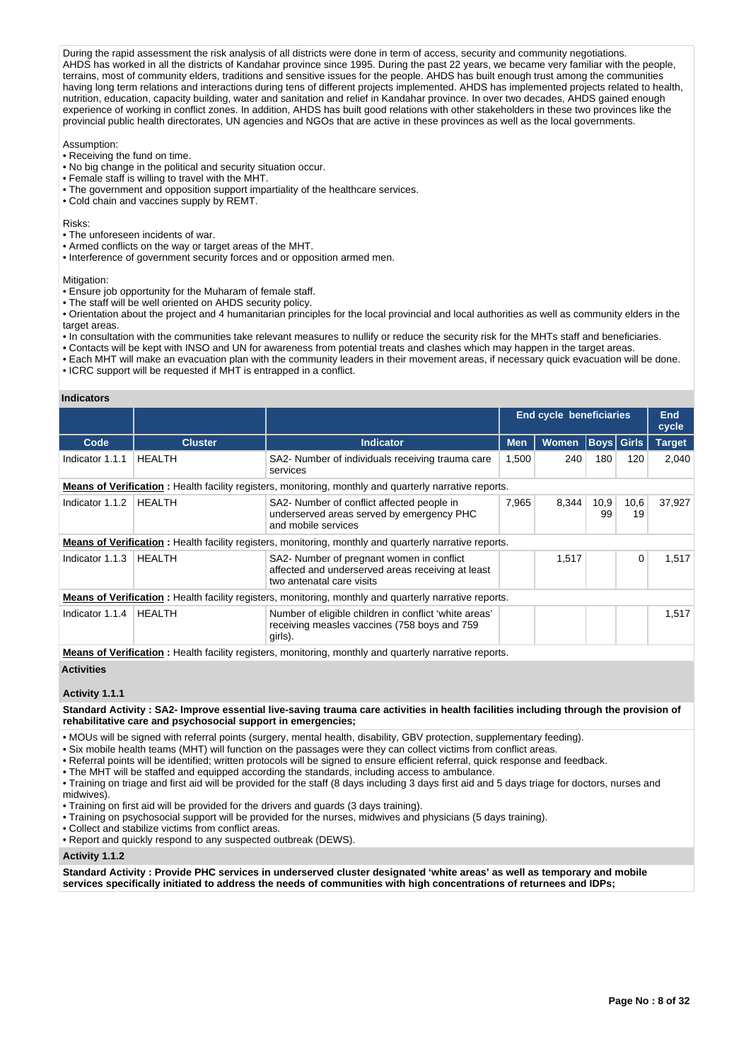During the rapid assessment the risk analysis of all districts were done in term of access, security and community negotiations. AHDS has worked in all the districts of Kandahar province since 1995. During the past 22 years, we became very familiar with the people, terrains, most of community elders, traditions and sensitive issues for the people. AHDS has built enough trust among the communities having long term relations and interactions during tens of different projects implemented. AHDS has implemented projects related to health, nutrition, education, capacity building, water and sanitation and relief in Kandahar province. In over two decades, AHDS gained enough experience of working in conflict zones. In addition, AHDS has built good relations with other stakeholders in these two provinces like the provincial public health directorates, UN agencies and NGOs that are active in these provinces as well as the local governments.

Assumption:

- Receiving the fund on time.
- No big change in the political and security situation occur.
- Female staff is willing to travel with the MHT.
- The government and opposition support impartiality of the healthcare services.
- Cold chain and vaccines supply by REMT.

Risks:

- The unforeseen incidents of war.
- Armed conflicts on the way or target areas of the MHT.
- Interference of government security forces and or opposition armed men.

Mitigation:

- Ensure job opportunity for the Muharam of female staff.
- The staff will be well oriented on AHDS security policy.

• Orientation about the project and 4 humanitarian principles for the local provincial and local authorities as well as community elders in the target areas.

- In consultation with the communities take relevant measures to nullify or reduce the security risk for the MHTs staff and beneficiaries.
- Contacts will be kept with INSO and UN for awareness from potential treats and clashes which may happen in the target areas.
- Each MHT will make an evacuation plan with the community leaders in their movement areas, if necessary quick evacuation will be done.
- ICRC support will be requested if MHT is entrapped in a conflict.

### **Indicators**

|                 |                |                                                                                                                             | <b>End cycle beneficiaries</b> | End<br>cycle                      |            |            |        |
|-----------------|----------------|-----------------------------------------------------------------------------------------------------------------------------|--------------------------------|-----------------------------------|------------|------------|--------|
| Code            | <b>Cluster</b> | <b>Indicator</b>                                                                                                            | <b>Men</b>                     | <b>Boys</b> Girls<br><b>Women</b> |            |            |        |
| Indicator 1.1.1 | <b>HEALTH</b>  | SA2- Number of individuals receiving trauma care<br>services                                                                | 1,500                          | 240                               | 180        | 120        | 2,040  |
|                 |                | Means of Verification: Health facility registers, monitoring, monthly and quarterly narrative reports.                      |                                |                                   |            |            |        |
| Indicator 1.1.2 | HEALTH         | SA2- Number of conflict affected people in<br>underserved areas served by emergency PHC<br>and mobile services              |                                | 8.344                             | 10,9<br>99 | 10,6<br>19 | 37,927 |
|                 |                | <b>Means of Verification</b> : Health facility registers, monitoring, monthly and quarterly narrative reports.              |                                |                                   |            |            |        |
| Indicator 1.1.3 | <b>HEALTH</b>  | SA2- Number of pregnant women in conflict<br>affected and underserved areas receiving at least<br>two antenatal care visits |                                | 1,517                             |            | 0          | 1,517  |
|                 |                | Means of Verification: Health facility registers, monitoring, monthly and quarterly narrative reports.                      |                                |                                   |            |            |        |
| Indicator 1.1.4 | HEALTH         | Number of eligible children in conflict 'white areas'<br>receiving measles vaccines (758 boys and 759<br>girls).            |                                |                                   |            |            | 1,517  |
|                 |                | <b>Means of Verification:</b> Health facility registers, monitoring, monthly and quarterly narrative reports.               |                                |                                   |            |            |        |

**Activities**

# **Activity 1.1.1**

**Standard Activity : SA2- Improve essential live-saving trauma care activities in health facilities including through the provision of rehabilitative care and psychosocial support in emergencies;**

• MOUs will be signed with referral points (surgery, mental health, disability, GBV protection, supplementary feeding).

• Six mobile health teams (MHT) will function on the passages were they can collect victims from conflict areas.

• Referral points will be identified; written protocols will be signed to ensure efficient referral, quick response and feedback.

• The MHT will be staffed and equipped according the standards, including access to ambulance.

• Training on triage and first aid will be provided for the staff (8 days including 3 days first aid and 5 days triage for doctors, nurses and midwives).

• Training on first aid will be provided for the drivers and guards (3 days training).

• Training on psychosocial support will be provided for the nurses, midwives and physicians (5 days training).

- Collect and stabilize victims from conflict areas.
- Report and quickly respond to any suspected outbreak (DEWS).

### **Activity 1.1.2**

**Standard Activity : Provide PHC services in underserved cluster designated 'white areas' as well as temporary and mobile services specifically initiated to address the needs of communities with high concentrations of returnees and IDPs;**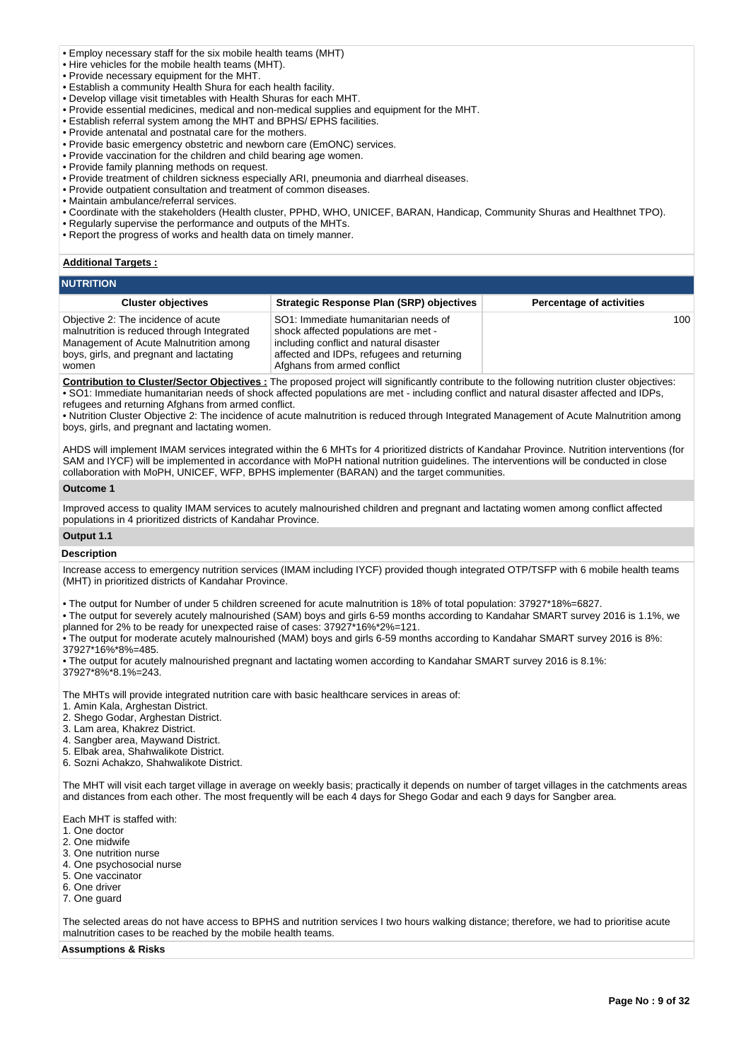- Employ necessary staff for the six mobile health teams (MHT)
- Hire vehicles for the mobile health teams (MHT).
- Provide necessary equipment for the MHT.
- Establish a community Health Shura for each health facility.
- Develop village visit timetables with Health Shuras for each MHT.
- Provide essential medicines, medical and non-medical supplies and equipment for the MHT.
- Establish referral system among the MHT and BPHS/ EPHS facilities.
- Provide antenatal and postnatal care for the mothers.
- Provide basic emergency obstetric and newborn care (EmONC) services.
- Provide vaccination for the children and child bearing age women.
- Provide family planning methods on request.
- Provide treatment of children sickness especially ARI, pneumonia and diarrheal diseases.
- Provide outpatient consultation and treatment of common diseases.
- Maintain ambulance/referral services.
- Coordinate with the stakeholders (Health cluster, PPHD, WHO, UNICEF, BARAN, Handicap, Community Shuras and Healthnet TPO).
- Regularly supervise the performance and outputs of the MHTs.
- Report the progress of works and health data on timely manner.

### **Additional Targets :**

| <b>NUTRITION</b> |  |  |  |
|------------------|--|--|--|
|                  |  |  |  |

| <b>Cluster objectives</b>                                                                                                                                                       | Strategic Response Plan (SRP) objectives                                                                                                                                                            | <b>Percentage of activities</b> |
|---------------------------------------------------------------------------------------------------------------------------------------------------------------------------------|-----------------------------------------------------------------------------------------------------------------------------------------------------------------------------------------------------|---------------------------------|
| Objective 2: The incidence of acute<br>malnutrition is reduced through Integrated<br>Management of Acute Malnutrition among<br>boys, girls, and pregnant and lactating<br>women | SO1: Immediate humanitarian needs of<br>shock affected populations are met -<br>including conflict and natural disaster<br>affected and IDPs, refugees and returning<br>Afghans from armed conflict | 100                             |

**Contribution to Cluster/Sector Objectives :** The proposed project will significantly contribute to the following nutrition cluster objectives: • SO1: Immediate humanitarian needs of shock affected populations are met - including conflict and natural disaster affected and IDPs, refugees and returning Afghans from armed conflict.

• Nutrition Cluster Objective 2: The incidence of acute malnutrition is reduced through Integrated Management of Acute Malnutrition among boys, girls, and pregnant and lactating women.

AHDS will implement IMAM services integrated within the 6 MHTs for 4 prioritized districts of Kandahar Province. Nutrition interventions (for SAM and IYCF) will be implemented in accordance with MoPH national nutrition guidelines. The interventions will be conducted in close collaboration with MoPH, UNICEF, WFP, BPHS implementer (BARAN) and the target communities.

### **Outcome 1**

Improved access to quality IMAM services to acutely malnourished children and pregnant and lactating women among conflict affected populations in 4 prioritized districts of Kandahar Province.

# **Output 1.1 Description**

Increase access to emergency nutrition services (IMAM including IYCF) provided though integrated OTP/TSFP with 6 mobile health teams (MHT) in prioritized districts of Kandahar Province.

• The output for Number of under 5 children screened for acute malnutrition is 18% of total population: 37927\*18%=6827.

• The output for severely acutely malnourished (SAM) boys and girls 6-59 months according to Kandahar SMART survey 2016 is 1.1%, we planned for 2% to be ready for unexpected raise of cases: 37927\*16%\*2%=121.

• The output for moderate acutely malnourished (MAM) boys and girls 6-59 months according to Kandahar SMART survey 2016 is 8%: 37927\*16%\*8%=485.

• The output for acutely malnourished pregnant and lactating women according to Kandahar SMART survey 2016 is 8.1%: 37927\*8%\*8.1%=243.

The MHTs will provide integrated nutrition care with basic healthcare services in areas of:

- 1. Amin Kala, Arghestan District.
- 2. Shego Godar, Arghestan District.
- 3. Lam area, Khakrez District.
- 4. Sangber area, Maywand District.
- 5. Elbak area, Shahwalikote District.
- 6. Sozni Achakzo, Shahwalikote District.

The MHT will visit each target village in average on weekly basis; practically it depends on number of target villages in the catchments areas and distances from each other. The most frequently will be each 4 days for Shego Godar and each 9 days for Sangber area.

Each MHT is staffed with:

- 1. One doctor
- 2. One midwife
- 3. One nutrition nurse
- 4. One psychosocial nurse
- 5. One vaccinator
- 6. One driver
- 7. One guard

The selected areas do not have access to BPHS and nutrition services I two hours walking distance; therefore, we had to prioritise acute malnutrition cases to be reached by the mobile health teams.

**Assumptions & Risks**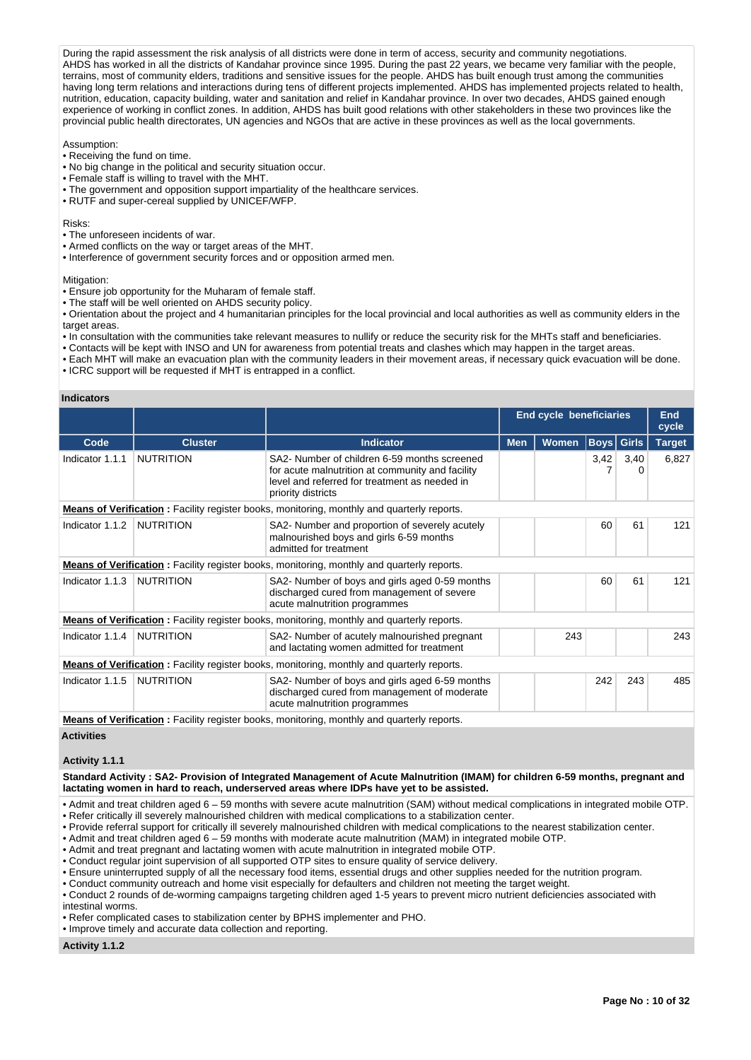During the rapid assessment the risk analysis of all districts were done in term of access, security and community negotiations. AHDS has worked in all the districts of Kandahar province since 1995. During the past 22 years, we became very familiar with the people, terrains, most of community elders, traditions and sensitive issues for the people. AHDS has built enough trust among the communities having long term relations and interactions during tens of different projects implemented. AHDS has implemented projects related to health, nutrition, education, capacity building, water and sanitation and relief in Kandahar province. In over two decades, AHDS gained enough experience of working in conflict zones. In addition, AHDS has built good relations with other stakeholders in these two provinces like the provincial public health directorates, UN agencies and NGOs that are active in these provinces as well as the local governments.

Assumption:

- Receiving the fund on time.
- No big change in the political and security situation occur.
- Female staff is willing to travel with the MHT.
- The government and opposition support impartiality of the healthcare services.
- RUTF and super-cereal supplied by UNICEF/WFP.

Risks:

- The unforeseen incidents of war.
- Armed conflicts on the way or target areas of the MHT.
- Interference of government security forces and or opposition armed men.

Mitigation:

- Ensure job opportunity for the Muharam of female staff.
- The staff will be well oriented on AHDS security policy.

• Orientation about the project and 4 humanitarian principles for the local provincial and local authorities as well as community elders in the target areas.

- In consultation with the communities take relevant measures to nullify or reduce the security risk for the MHTs staff and beneficiaries.
- Contacts will be kept with INSO and UN for awareness from potential treats and clashes which may happen in the target areas.
- Each MHT will make an evacuation plan with the community leaders in their movement areas, if necessary quick evacuation will be done.
- ICRC support will be requested if MHT is entrapped in a conflict.

### **Indicators**

|                 |                  |                                                                                                                                                                         | <b>End cycle beneficiaries</b> | End<br>cycle |             |              |               |
|-----------------|------------------|-------------------------------------------------------------------------------------------------------------------------------------------------------------------------|--------------------------------|--------------|-------------|--------------|---------------|
| Code            | <b>Cluster</b>   | <b>Indicator</b>                                                                                                                                                        | <b>Men</b>                     | Women        | <b>Boys</b> | <b>Girls</b> | <b>Target</b> |
| Indicator 1.1.1 | <b>NUTRITION</b> | SA2- Number of children 6-59 months screened<br>for acute malnutrition at community and facility<br>level and referred for treatment as needed in<br>priority districts |                                |              | 3,42        | 3,40<br>0    | 6,827         |
|                 |                  | <b>Means of Verification:</b> Facility register books, monitoring, monthly and quarterly reports.                                                                       |                                |              |             |              |               |
| Indicator 1.1.2 | <b>NUTRITION</b> | SA2- Number and proportion of severely acutely<br>malnourished boys and girls 6-59 months<br>admitted for treatment                                                     |                                |              | 60          | 61           | 121           |
|                 |                  | <b>Means of Verification:</b> Facility register books, monitoring, monthly and quarterly reports.                                                                       |                                |              |             |              |               |
| Indicator 1.1.3 | <b>NUTRITION</b> | SA2- Number of boys and girls aged 0-59 months<br>discharged cured from management of severe<br>acute malnutrition programmes                                           |                                |              | 60          | 61           | 121           |
|                 |                  | <b>Means of Verification:</b> Facility register books, monitoring, monthly and quarterly reports.                                                                       |                                |              |             |              |               |
| Indicator 1.1.4 | <b>NUTRITION</b> | SA2- Number of acutely malnourished pregnant<br>and lactating women admitted for treatment                                                                              |                                | 243          |             |              | 243           |
|                 |                  | Means of Verification: Facility register books, monitoring, monthly and quarterly reports.                                                                              |                                |              |             |              |               |
| Indicator 1.1.5 | <b>NUTRITION</b> | SA2- Number of boys and girls aged 6-59 months<br>discharged cured from management of moderate<br>acute malnutrition programmes                                         |                                |              | 242         | 243          | 485           |

**Means of Verification** : Facility register books, monitoring, monthly and quarterly reports.

# **Activities**

# **Activity 1.1.1**

**Standard Activity : SA2- Provision of Integrated Management of Acute Malnutrition (IMAM) for children 6-59 months, pregnant and lactating women in hard to reach, underserved areas where IDPs have yet to be assisted.**

• Admit and treat children aged 6 – 59 months with severe acute malnutrition (SAM) without medical complications in integrated mobile OTP.

• Refer critically ill severely malnourished children with medical complications to a stabilization center.

• Provide referral support for critically ill severely malnourished children with medical complications to the nearest stabilization center.

• Admit and treat children aged 6 – 59 months with moderate acute malnutrition (MAM) in integrated mobile OTP.

• Admit and treat pregnant and lactating women with acute malnutrition in integrated mobile OTP.

• Conduct regular joint supervision of all supported OTP sites to ensure quality of service delivery.

• Ensure uninterrupted supply of all the necessary food items, essential drugs and other supplies needed for the nutrition program.

• Conduct community outreach and home visit especially for defaulters and children not meeting the target weight.

• Conduct 2 rounds of de-worming campaigns targeting children aged 1-5 years to prevent micro nutrient deficiencies associated with

intestinal worms.

• Refer complicated cases to stabilization center by BPHS implementer and PHO.

• Improve timely and accurate data collection and reporting.

### **Activity 1.1.2**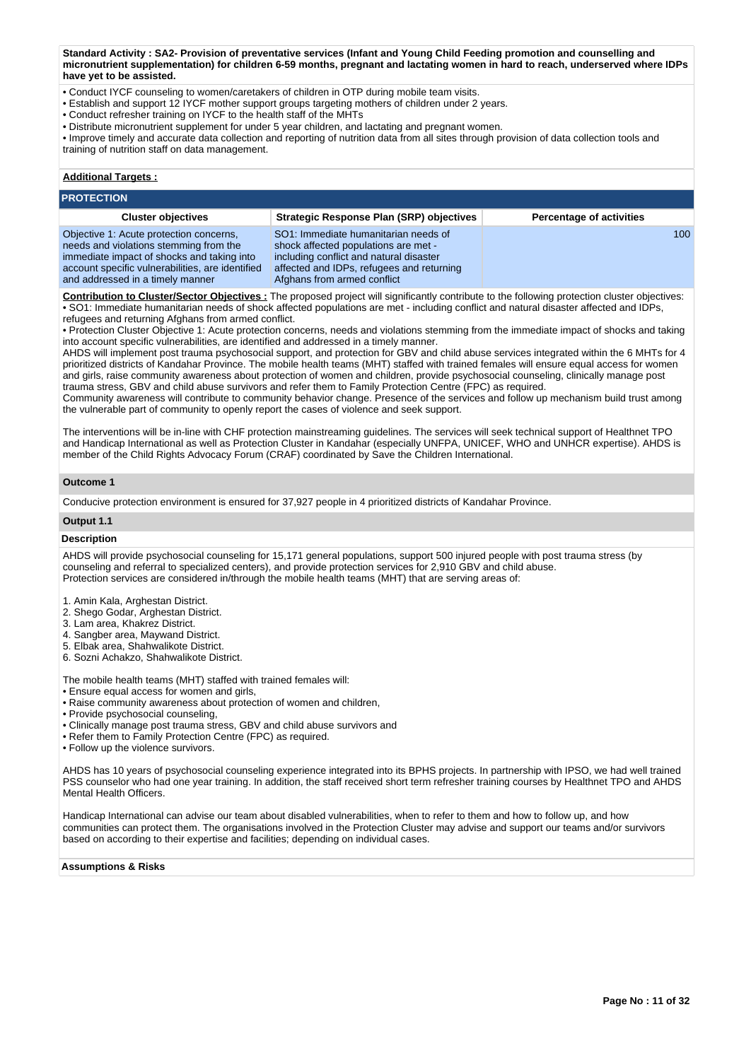**Standard Activity : SA2- Provision of preventative services (Infant and Young Child Feeding promotion and counselling and micronutrient supplementation) for children 6-59 months, pregnant and lactating women in hard to reach, underserved where IDPs have yet to be assisted.**

- Conduct IYCF counseling to women/caretakers of children in OTP during mobile team visits.
- Establish and support 12 IYCF mother support groups targeting mothers of children under 2 years.
- Conduct refresher training on IYCF to the health staff of the MHTs
- Distribute micronutrient supplement for under 5 year children, and lactating and pregnant women.

• Improve timely and accurate data collection and reporting of nutrition data from all sites through provision of data collection tools and training of nutrition staff on data management.

# **Additional Targets :**

#### **PROTECTION Cluster objectives Strategic Response Plan (SRP) objectives Percentage of activities** Objective 1: Acute protection concerns, needs and violations stemming from the immediate impact of shocks and taking into account specific vulnerabilities, are identified and addressed in a timely manner SO1: Immediate humanitarian needs of shock affected populations are met including conflict and natural disaster affected and IDPs, refugees and returning Afghans from armed conflict 100

**Contribution to Cluster/Sector Objectives :** The proposed project will significantly contribute to the following protection cluster objectives: • SO1: Immediate humanitarian needs of shock affected populations are met - including conflict and natural disaster affected and IDPs, refugees and returning Afghans from armed conflict.

• Protection Cluster Objective 1: Acute protection concerns, needs and violations stemming from the immediate impact of shocks and taking into account specific vulnerabilities, are identified and addressed in a timely manner.

AHDS will implement post trauma psychosocial support, and protection for GBV and child abuse services integrated within the 6 MHTs for 4 prioritized districts of Kandahar Province. The mobile health teams (MHT) staffed with trained females will ensure equal access for women and girls, raise community awareness about protection of women and children, provide psychosocial counseling, clinically manage post trauma stress, GBV and child abuse survivors and refer them to Family Protection Centre (FPC) as required.

Community awareness will contribute to community behavior change. Presence of the services and follow up mechanism build trust among the vulnerable part of community to openly report the cases of violence and seek support.

The interventions will be in-line with CHF protection mainstreaming guidelines. The services will seek technical support of Healthnet TPO and Handicap International as well as Protection Cluster in Kandahar (especially UNFPA, UNICEF, WHO and UNHCR expertise). AHDS is member of the Child Rights Advocacy Forum (CRAF) coordinated by Save the Children International.

### **Outcome 1**

Conducive protection environment is ensured for 37,927 people in 4 prioritized districts of Kandahar Province.

### **Output 1.1**

### **Description**

AHDS will provide psychosocial counseling for 15,171 general populations, support 500 injured people with post trauma stress (by counseling and referral to specialized centers), and provide protection services for 2,910 GBV and child abuse. Protection services are considered in/through the mobile health teams (MHT) that are serving areas of:

- 1. Amin Kala, Arghestan District.
- 2. Shego Godar, Arghestan District.
- 3. Lam area, Khakrez District.
- 4. Sangber area, Maywand District.
- 5. Elbak area, Shahwalikote District.
- 6. Sozni Achakzo, Shahwalikote District.

The mobile health teams (MHT) staffed with trained females will:

- Ensure equal access for women and girls,
- Raise community awareness about protection of women and children,
- Provide psychosocial counseling,
- Clinically manage post trauma stress, GBV and child abuse survivors and
- Refer them to Family Protection Centre (FPC) as required.
- Follow up the violence survivors.

AHDS has 10 years of psychosocial counseling experience integrated into its BPHS projects. In partnership with IPSO, we had well trained PSS counselor who had one year training. In addition, the staff received short term refresher training courses by Healthnet TPO and AHDS Mental Health Officers.

Handicap International can advise our team about disabled vulnerabilities, when to refer to them and how to follow up, and how communities can protect them. The organisations involved in the Protection Cluster may advise and support our teams and/or survivors based on according to their expertise and facilities; depending on individual cases.

**Assumptions & Risks**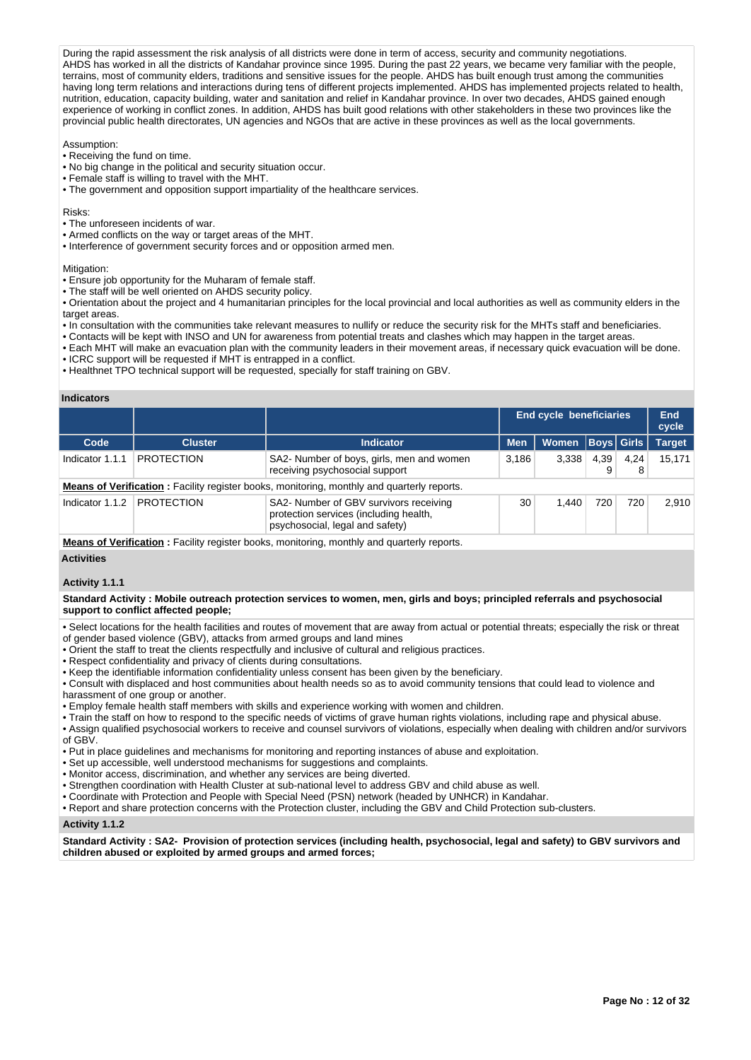During the rapid assessment the risk analysis of all districts were done in term of access, security and community negotiations. AHDS has worked in all the districts of Kandahar province since 1995. During the past 22 years, we became very familiar with the people, terrains, most of community elders, traditions and sensitive issues for the people. AHDS has built enough trust among the communities having long term relations and interactions during tens of different projects implemented. AHDS has implemented projects related to health, nutrition, education, capacity building, water and sanitation and relief in Kandahar province. In over two decades, AHDS gained enough experience of working in conflict zones. In addition, AHDS has built good relations with other stakeholders in these two provinces like the provincial public health directorates, UN agencies and NGOs that are active in these provinces as well as the local governments.

Assumption:

- Receiving the fund on time.
- No big change in the political and security situation occur.
- Female staff is willing to travel with the MHT.
- The government and opposition support impartiality of the healthcare services.

Risks:

- The unforeseen incidents of war.
- Armed conflicts on the way or target areas of the MHT.
- Interference of government security forces and or opposition armed men.

Mitigation:

- Ensure job opportunity for the Muharam of female staff.
- The staff will be well oriented on AHDS security policy.

• Orientation about the project and 4 humanitarian principles for the local provincial and local authorities as well as community elders in the target areas.

- In consultation with the communities take relevant measures to nullify or reduce the security risk for the MHTs staff and beneficiaries.
- Contacts will be kept with INSO and UN for awareness from potential treats and clashes which may happen in the target areas.
- Each MHT will make an evacuation plan with the community leaders in their movement areas, if necessary quick evacuation will be done.
- ICRC support will be requested if MHT is entrapped in a conflict.
- Healthnet TPO technical support will be requested, specially for staff training on GBV.

### **Indicators**

|                 |                   |                                                                                                                     | <b>End cycle beneficiaries</b> | End<br>cycle         |      |           |               |
|-----------------|-------------------|---------------------------------------------------------------------------------------------------------------------|--------------------------------|----------------------|------|-----------|---------------|
| Code            | <b>Cluster</b>    | <b>Men</b><br><b>Indicator</b>                                                                                      |                                | Women   Boys   Girls |      |           | <b>Target</b> |
| Indicator 1.1.1 | <b>PROTECTION</b> | SA2- Number of boys, girls, men and women<br>receiving psychosocial support                                         | 3,186                          | 3,338                | 4,39 | 4.24<br>8 | 15.171        |
|                 |                   | <b>Means of Verification:</b> Facility register books, monitoring, monthly and quarterly reports.                   |                                |                      |      |           |               |
| Indicator 1.1.2 | <b>PROTECTION</b> | SA2- Number of GBV survivors receiving<br>protection services (including health,<br>psychosocial, legal and safety) | 30                             | 1.440                | 720  | 720       | 2,910         |
|                 |                   | Moone of Verification : Equility register books, menitorias, menthly and quarterly reporte                          |                                |                      |      |           |               |

**Means of Verification** : Facility register books, monitoring, monthly and quarterly reports.

# **Activities**

# **Activity 1.1.1**

### **Standard Activity : Mobile outreach protection services to women, men, girls and boys; principled referrals and psychosocial support to conflict affected people;**

• Select locations for the health facilities and routes of movement that are away from actual or potential threats; especially the risk or threat

- of gender based violence (GBV), attacks from armed groups and land mines
- Orient the staff to treat the clients respectfully and inclusive of cultural and religious practices.
- Respect confidentiality and privacy of clients during consultations.
- Keep the identifiable information confidentiality unless consent has been given by the beneficiary.

• Consult with displaced and host communities about health needs so as to avoid community tensions that could lead to violence and harassment of one group or another.

• Employ female health staff members with skills and experience working with women and children.

- Train the staff on how to respond to the specific needs of victims of grave human rights violations, including rape and physical abuse.
- Assign qualified psychosocial workers to receive and counsel survivors of violations, especially when dealing with children and/or survivors of GBV.
- Put in place guidelines and mechanisms for monitoring and reporting instances of abuse and exploitation.
- Set up accessible, well understood mechanisms for suggestions and complaints.
- Monitor access, discrimination, and whether any services are being diverted.
- Strengthen coordination with Health Cluster at sub-national level to address GBV and child abuse as well.
- Coordinate with Protection and People with Special Need (PSN) network (headed by UNHCR) in Kandahar.
- Report and share protection concerns with the Protection cluster, including the GBV and Child Protection sub-clusters.

# **Activity 1.1.2**

**Standard Activity : SA2- Provision of protection services (including health, psychosocial, legal and safety) to GBV survivors and children abused or exploited by armed groups and armed forces;**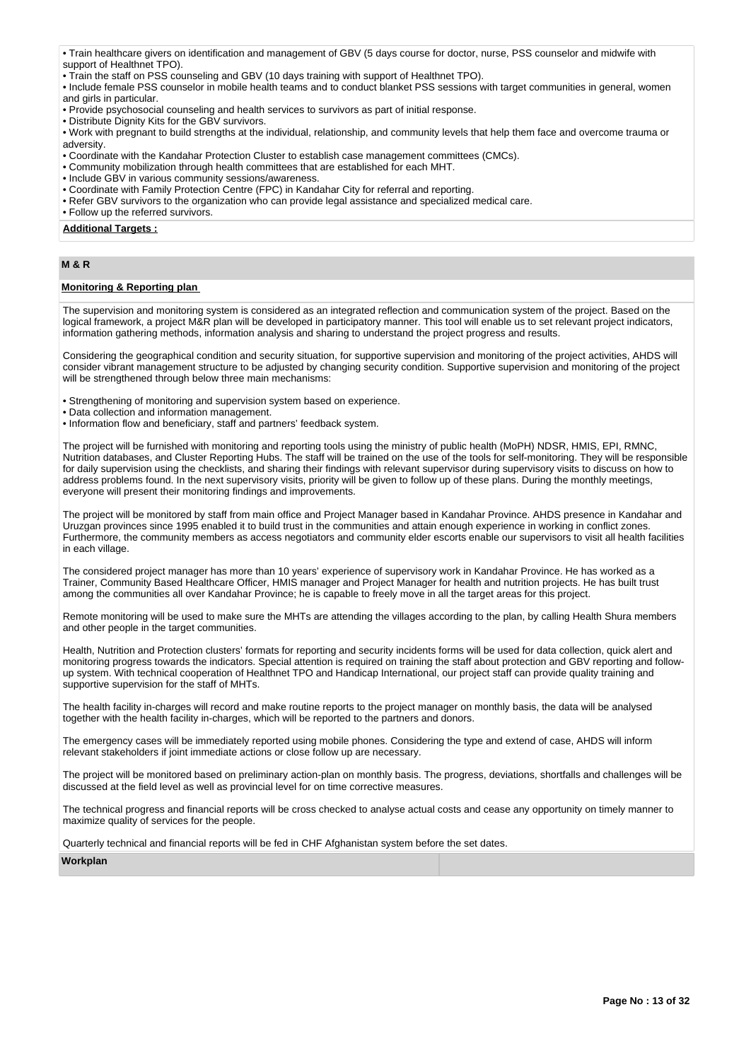• Train healthcare givers on identification and management of GBV (5 days course for doctor, nurse, PSS counselor and midwife with support of Healthnet TPO).

• Train the staff on PSS counseling and GBV (10 days training with support of Healthnet TPO).

• Include female PSS counselor in mobile health teams and to conduct blanket PSS sessions with target communities in general, women and girls in particular.

• Provide psychosocial counseling and health services to survivors as part of initial response.

• Distribute Dignity Kits for the GBV survivors.

• Work with pregnant to build strengths at the individual, relationship, and community levels that help them face and overcome trauma or adversity.

- Coordinate with the Kandahar Protection Cluster to establish case management committees (CMCs).
- Community mobilization through health committees that are established for each MHT.
- Include GBV in various community sessions/awareness.
- Coordinate with Family Protection Centre (FPC) in Kandahar City for referral and reporting.
- Refer GBV survivors to the organization who can provide legal assistance and specialized medical care.
- Follow up the referred survivors.

## **Additional Targets :**

# **M & R**

# **Monitoring & Reporting plan**

The supervision and monitoring system is considered as an integrated reflection and communication system of the project. Based on the logical framework, a project M&R plan will be developed in participatory manner. This tool will enable us to set relevant project indicators, information gathering methods, information analysis and sharing to understand the project progress and results.

Considering the geographical condition and security situation, for supportive supervision and monitoring of the project activities, AHDS will consider vibrant management structure to be adjusted by changing security condition. Supportive supervision and monitoring of the project will be strengthened through below three main mechanisms:

• Strengthening of monitoring and supervision system based on experience.

- Data collection and information management.
- Information flow and beneficiary, staff and partners' feedback system.

The project will be furnished with monitoring and reporting tools using the ministry of public health (MoPH) NDSR, HMIS, EPI, RMNC, Nutrition databases, and Cluster Reporting Hubs. The staff will be trained on the use of the tools for self-monitoring. They will be responsible for daily supervision using the checklists, and sharing their findings with relevant supervisor during supervisory visits to discuss on how to address problems found. In the next supervisory visits, priority will be given to follow up of these plans. During the monthly meetings, everyone will present their monitoring findings and improvements.

The project will be monitored by staff from main office and Project Manager based in Kandahar Province. AHDS presence in Kandahar and Uruzgan provinces since 1995 enabled it to build trust in the communities and attain enough experience in working in conflict zones. Furthermore, the community members as access negotiators and community elder escorts enable our supervisors to visit all health facilities in each village.

The considered project manager has more than 10 years' experience of supervisory work in Kandahar Province. He has worked as a Trainer, Community Based Healthcare Officer, HMIS manager and Project Manager for health and nutrition projects. He has built trust among the communities all over Kandahar Province; he is capable to freely move in all the target areas for this project.

Remote monitoring will be used to make sure the MHTs are attending the villages according to the plan, by calling Health Shura members and other people in the target communities.

Health, Nutrition and Protection clusters' formats for reporting and security incidents forms will be used for data collection, quick alert and monitoring progress towards the indicators. Special attention is required on training the staff about protection and GBV reporting and followup system. With technical cooperation of Healthnet TPO and Handicap International, our project staff can provide quality training and supportive supervision for the staff of MHTs.

The health facility in-charges will record and make routine reports to the project manager on monthly basis, the data will be analysed together with the health facility in-charges, which will be reported to the partners and donors.

The emergency cases will be immediately reported using mobile phones. Considering the type and extend of case, AHDS will inform relevant stakeholders if joint immediate actions or close follow up are necessary.

The project will be monitored based on preliminary action-plan on monthly basis. The progress, deviations, shortfalls and challenges will be discussed at the field level as well as provincial level for on time corrective measures.

The technical progress and financial reports will be cross checked to analyse actual costs and cease any opportunity on timely manner to maximize quality of services for the people.

Quarterly technical and financial reports will be fed in CHF Afghanistan system before the set dates.

**Workplan**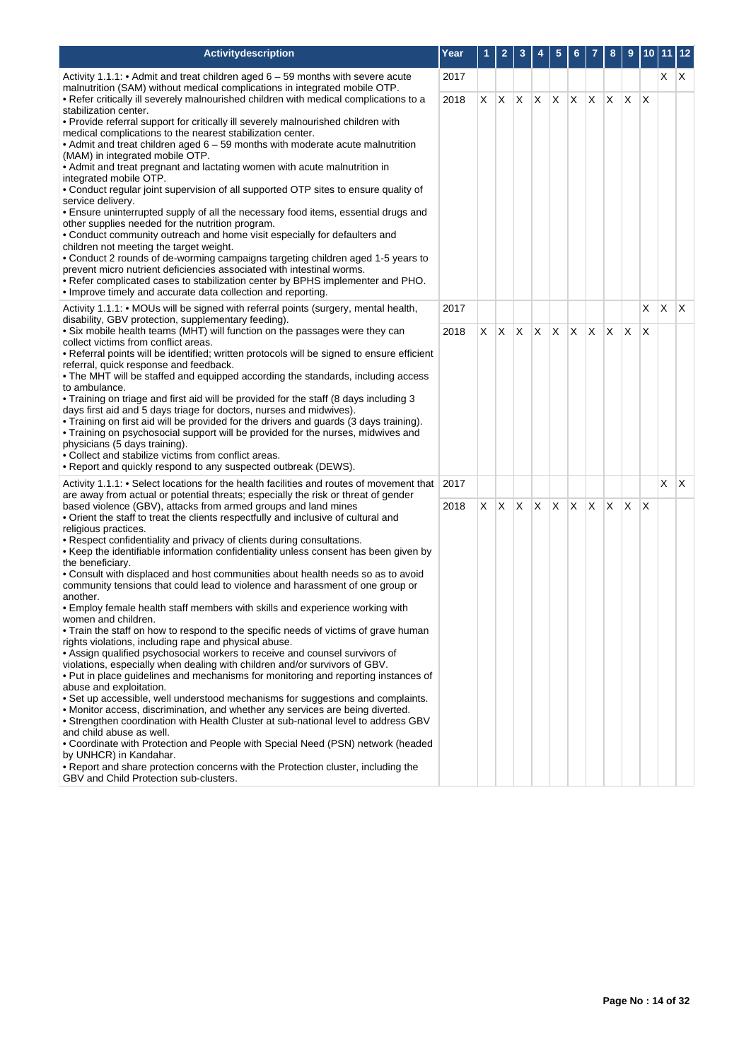| Activitydescription                                                                                                                                                                                                                                                                                                                                                                                                                                                                                                                                                                                                                                                                                                                                                                                                                                                                                                                                                                                                                                                                                                                                                                                                                                                                                                                                                                                                                                                                                                                                                                                                                                                                                              | Year | 1  | $\overline{2}$ | 3            | 4  | 5        | 6  |     | 8  | 9        | 10 <sub>1</sub> | 11 12 |     |
|------------------------------------------------------------------------------------------------------------------------------------------------------------------------------------------------------------------------------------------------------------------------------------------------------------------------------------------------------------------------------------------------------------------------------------------------------------------------------------------------------------------------------------------------------------------------------------------------------------------------------------------------------------------------------------------------------------------------------------------------------------------------------------------------------------------------------------------------------------------------------------------------------------------------------------------------------------------------------------------------------------------------------------------------------------------------------------------------------------------------------------------------------------------------------------------------------------------------------------------------------------------------------------------------------------------------------------------------------------------------------------------------------------------------------------------------------------------------------------------------------------------------------------------------------------------------------------------------------------------------------------------------------------------------------------------------------------------|------|----|----------------|--------------|----|----------|----|-----|----|----------|-----------------|-------|-----|
| 2017<br>Activity 1.1.1: $\bullet$ Admit and treat children aged 6 – 59 months with severe acute<br>malnutrition (SAM) without medical complications in integrated mobile OTP.                                                                                                                                                                                                                                                                                                                                                                                                                                                                                                                                                                                                                                                                                                                                                                                                                                                                                                                                                                                                                                                                                                                                                                                                                                                                                                                                                                                                                                                                                                                                    |      |    |                |              |    |          |    |     |    |          |                 | X.    | ΙX. |
| • Refer critically ill severely malnourished children with medical complications to a<br>stabilization center.<br>• Provide referral support for critically ill severely malnourished children with<br>medical complications to the nearest stabilization center.<br>• Admit and treat children aged 6 – 59 months with moderate acute malnutrition<br>(MAM) in integrated mobile OTP.<br>• Admit and treat pregnant and lactating women with acute malnutrition in<br>integrated mobile OTP.<br>• Conduct regular joint supervision of all supported OTP sites to ensure quality of<br>service delivery.<br>• Ensure uninterrupted supply of all the necessary food items, essential drugs and<br>other supplies needed for the nutrition program.<br>. Conduct community outreach and home visit especially for defaulters and<br>children not meeting the target weight.<br>. Conduct 2 rounds of de-worming campaigns targeting children aged 1-5 years to<br>prevent micro nutrient deficiencies associated with intestinal worms.<br>. Refer complicated cases to stabilization center by BPHS implementer and PHO.<br>. Improve timely and accurate data collection and reporting.                                                                                                                                                                                                                                                                                                                                                                                                                                                                                                                        | 2018 | X. | $\mathsf{X}$   | $\mathsf{X}$ | X  | X.       | X. | IX. | X  | ΙX.      | $\mathsf{X}$    |       |     |
| Activity 1.1.1: • MOUs will be signed with referral points (surgery, mental health,<br>disability, GBV protection, supplementary feeding).                                                                                                                                                                                                                                                                                                                                                                                                                                                                                                                                                                                                                                                                                                                                                                                                                                                                                                                                                                                                                                                                                                                                                                                                                                                                                                                                                                                                                                                                                                                                                                       | 2017 |    |                |              |    |          |    |     |    |          | $\times$        | IX.   | ΙX. |
| . Six mobile health teams (MHT) will function on the passages were they can<br>collect victims from conflict areas.<br>· Referral points will be identified; written protocols will be signed to ensure efficient<br>referral, quick response and feedback.<br>• The MHT will be staffed and equipped according the standards, including access<br>to ambulance.<br>• Training on triage and first aid will be provided for the staff (8 days including 3<br>days first aid and 5 days triage for doctors, nurses and midwives).<br>. Training on first aid will be provided for the drivers and guards (3 days training).<br>. Training on psychosocial support will be provided for the nurses, midwives and<br>physicians (5 days training).<br>• Collect and stabilize victims from conflict areas.<br>• Report and quickly respond to any suspected outbreak (DEWS).                                                                                                                                                                                                                                                                                                                                                                                                                                                                                                                                                                                                                                                                                                                                                                                                                                        | 2018 | X. | $\mathsf{X}$   | IX.          | X. | X.       | X. | IX. | X. | ΙX.      | $\mathsf{X}$    |       |     |
| Activity 1.1.1: • Select locations for the health facilities and routes of movement that 2017                                                                                                                                                                                                                                                                                                                                                                                                                                                                                                                                                                                                                                                                                                                                                                                                                                                                                                                                                                                                                                                                                                                                                                                                                                                                                                                                                                                                                                                                                                                                                                                                                    |      |    |                |              |    |          |    |     |    |          |                 | X X   |     |
| are away from actual or potential threats; especially the risk or threat of gender<br>based violence (GBV), attacks from armed groups and land mines<br>. Orient the staff to treat the clients respectfully and inclusive of cultural and<br>religious practices.<br>• Respect confidentiality and privacy of clients during consultations.<br>• Keep the identifiable information confidentiality unless consent has been given by<br>the beneficiary.<br>• Consult with displaced and host communities about health needs so as to avoid<br>community tensions that could lead to violence and harassment of one group or<br>another.<br>. Employ female health staff members with skills and experience working with<br>women and children.<br>• Train the staff on how to respond to the specific needs of victims of grave human<br>rights violations, including rape and physical abuse.<br>• Assign qualified psychosocial workers to receive and counsel survivors of<br>violations, especially when dealing with children and/or survivors of GBV.<br>• Put in place guidelines and mechanisms for monitoring and reporting instances of<br>abuse and exploitation.<br>· Set up accessible, well understood mechanisms for suggestions and complaints.<br>. Monitor access, discrimination, and whether any services are being diverted.<br>. Strengthen coordination with Health Cluster at sub-national level to address GBV<br>and child abuse as well.<br>• Coordinate with Protection and People with Special Need (PSN) network (headed<br>by UNHCR) in Kandahar.<br>• Report and share protection concerns with the Protection cluster, including the<br>GBV and Child Protection sub-clusters. | 2018 | X. | X.             | ΙX.          | X  | $\times$ | X  | X.  | X. | $\times$ | $\mathsf{X}$    |       |     |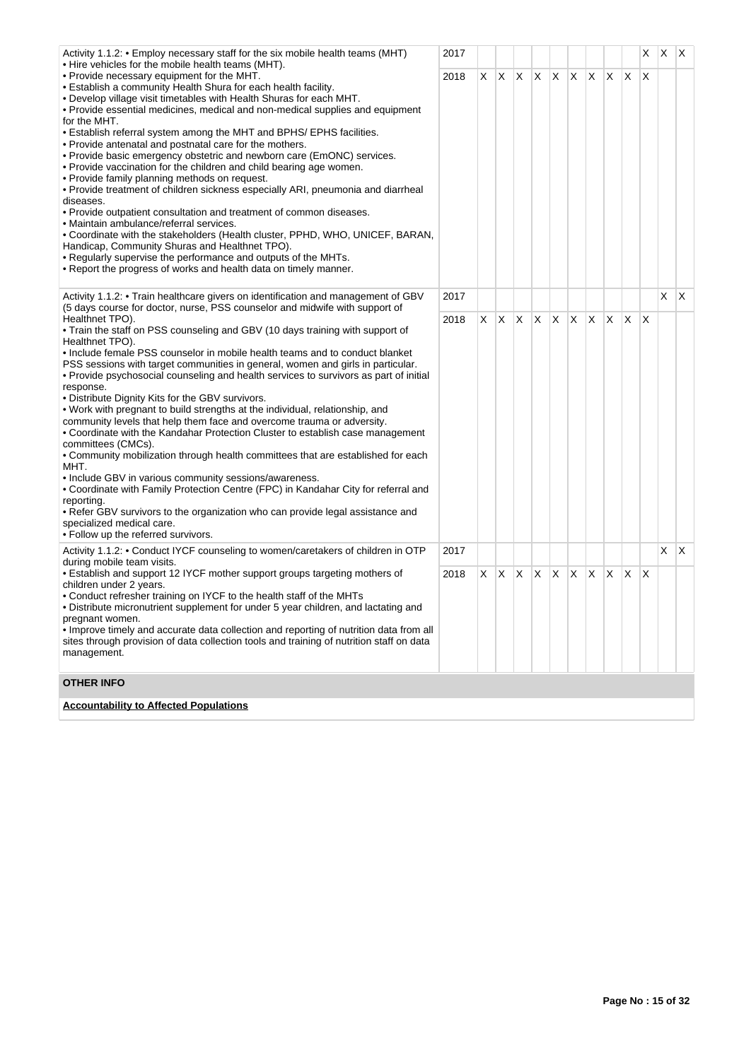| Activity 1.1.2: • Employ necessary staff for the six mobile health teams (MHT)<br>• Hire vehicles for the mobile health teams (MHT).                                                                                                                                                                                                                                                                                                                                                                                                                                                                                                                                                                                                                                                                                                                                                                                                                                                                                                                                                                                               | 2017 |    |              |              |    |     |         |              |    |              | X   | <b>X</b>   | X.  |
|------------------------------------------------------------------------------------------------------------------------------------------------------------------------------------------------------------------------------------------------------------------------------------------------------------------------------------------------------------------------------------------------------------------------------------------------------------------------------------------------------------------------------------------------------------------------------------------------------------------------------------------------------------------------------------------------------------------------------------------------------------------------------------------------------------------------------------------------------------------------------------------------------------------------------------------------------------------------------------------------------------------------------------------------------------------------------------------------------------------------------------|------|----|--------------|--------------|----|-----|---------|--------------|----|--------------|-----|------------|-----|
| • Provide necessary equipment for the MHT.<br>• Establish a community Health Shura for each health facility.<br>. Develop village visit timetables with Health Shuras for each MHT.<br>• Provide essential medicines, medical and non-medical supplies and equipment<br>for the MHT.<br>• Establish referral system among the MHT and BPHS/EPHS facilities.<br>• Provide antenatal and postnatal care for the mothers.<br>• Provide basic emergency obstetric and newborn care (EmONC) services.<br>. Provide vaccination for the children and child bearing age women.<br>. Provide family planning methods on request.<br>• Provide treatment of children sickness especially ARI, pneumonia and diarrheal<br>diseases.<br>. Provide outpatient consultation and treatment of common diseases.<br>• Maintain ambulance/referral services.<br>• Coordinate with the stakeholders (Health cluster, PPHD, WHO, UNICEF, BARAN,<br>Handicap, Community Shuras and Healthnet TPO).<br>. Regularly supervise the performance and outputs of the MHTs.<br>. Report the progress of works and health data on timely manner.               | 2018 | X. | $\mathsf{X}$ | X            | X. | ΙX. | $X$ $X$ |              | X. | $\mathsf{X}$ | ΙX  |            |     |
| Activity 1.1.2: • Train healthcare givers on identification and management of GBV<br>(5 days course for doctor, nurse, PSS counselor and midwife with support of                                                                                                                                                                                                                                                                                                                                                                                                                                                                                                                                                                                                                                                                                                                                                                                                                                                                                                                                                                   | 2017 |    |              |              |    |     |         |              |    |              |     | X.         | IX. |
| Healthnet TPO).<br>. Train the staff on PSS counseling and GBV (10 days training with support of<br>Healthnet TPO).<br>• Include female PSS counselor in mobile health teams and to conduct blanket<br>PSS sessions with target communities in general, women and girls in particular.<br>. Provide psychosocial counseling and health services to survivors as part of initial<br>response.<br>. Distribute Dignity Kits for the GBV survivors.<br>. Work with pregnant to build strengths at the individual, relationship, and<br>community levels that help them face and overcome trauma or adversity.<br>• Coordinate with the Kandahar Protection Cluster to establish case management<br>committees (CMCs).<br>• Community mobilization through health committees that are established for each<br>MHT.<br>• Include GBV in various community sessions/awareness.<br>• Coordinate with Family Protection Centre (FPC) in Kandahar City for referral and<br>reporting.<br>• Refer GBV survivors to the organization who can provide legal assistance and<br>specialized medical care.<br>• Follow up the referred survivors. | 2018 | X. | X.           | $\mathsf{X}$ | X. | ΙX. | IX.     | $\mathsf{X}$ | X. | ΙX.          | ΙX. |            |     |
| Activity 1.1.2: • Conduct IYCF counseling to women/caretakers of children in OTP<br>during mobile team visits.                                                                                                                                                                                                                                                                                                                                                                                                                                                                                                                                                                                                                                                                                                                                                                                                                                                                                                                                                                                                                     | 2017 |    |              |              |    |     |         |              |    |              |     | $X \mid X$ |     |
| • Establish and support 12 IYCF mother support groups targeting mothers of<br>children under 2 years.<br>• Conduct refresher training on IYCF to the health staff of the MHTs<br>. Distribute micronutrient supplement for under 5 year children, and lactating and<br>pregnant women.<br>. Improve timely and accurate data collection and reporting of nutrition data from all<br>sites through provision of data collection tools and training of nutrition staff on data<br>management.                                                                                                                                                                                                                                                                                                                                                                                                                                                                                                                                                                                                                                        | 2018 | X. | X.           | X            | X  | Χ   | X       | X            | X. | X            | ΙX. |            |     |
| <b>OTHER INFO</b>                                                                                                                                                                                                                                                                                                                                                                                                                                                                                                                                                                                                                                                                                                                                                                                                                                                                                                                                                                                                                                                                                                                  |      |    |              |              |    |     |         |              |    |              |     |            |     |
| <b>Accountability to Affected Populations</b>                                                                                                                                                                                                                                                                                                                                                                                                                                                                                                                                                                                                                                                                                                                                                                                                                                                                                                                                                                                                                                                                                      |      |    |              |              |    |     |         |              |    |              |     |            |     |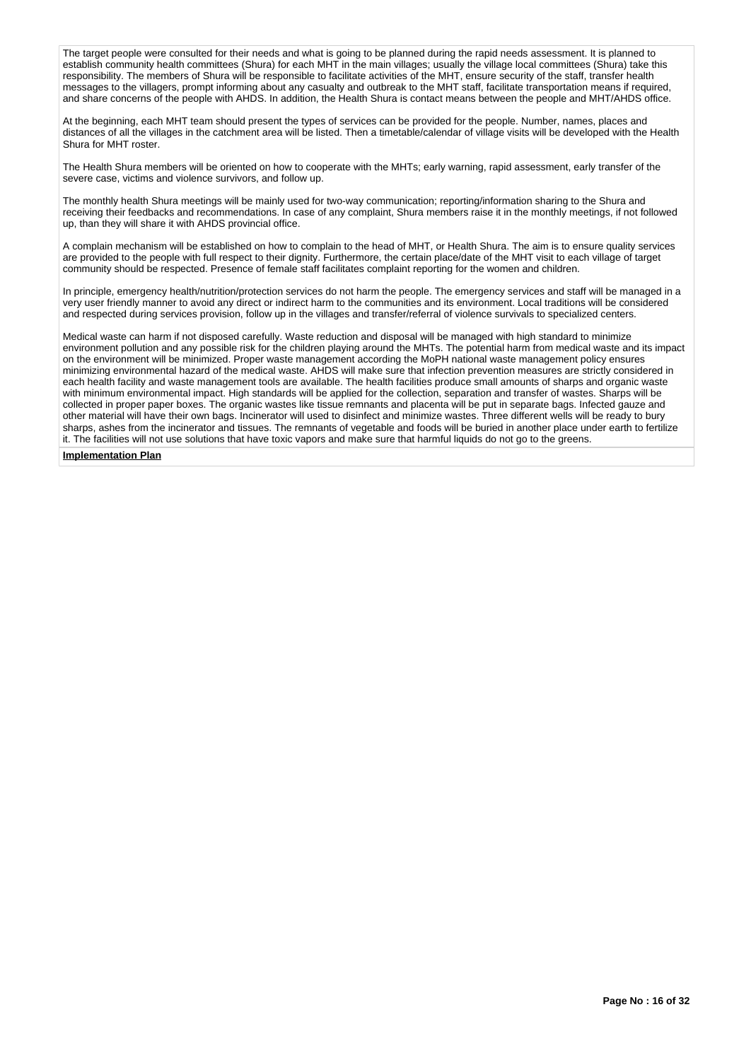The target people were consulted for their needs and what is going to be planned during the rapid needs assessment. It is planned to establish community health committees (Shura) for each MHT in the main villages; usually the village local committees (Shura) take this responsibility. The members of Shura will be responsible to facilitate activities of the MHT, ensure security of the staff, transfer health messages to the villagers, prompt informing about any casualty and outbreak to the MHT staff, facilitate transportation means if required, and share concerns of the people with AHDS. In addition, the Health Shura is contact means between the people and MHT/AHDS office.

At the beginning, each MHT team should present the types of services can be provided for the people. Number, names, places and distances of all the villages in the catchment area will be listed. Then a timetable/calendar of village visits will be developed with the Health Shura for MHT roster.

The Health Shura members will be oriented on how to cooperate with the MHTs; early warning, rapid assessment, early transfer of the severe case, victims and violence survivors, and follow up.

The monthly health Shura meetings will be mainly used for two-way communication; reporting/information sharing to the Shura and receiving their feedbacks and recommendations. In case of any complaint, Shura members raise it in the monthly meetings, if not followed up, than they will share it with AHDS provincial office.

A complain mechanism will be established on how to complain to the head of MHT, or Health Shura. The aim is to ensure quality services are provided to the people with full respect to their dignity. Furthermore, the certain place/date of the MHT visit to each village of target community should be respected. Presence of female staff facilitates complaint reporting for the women and children.

In principle, emergency health/nutrition/protection services do not harm the people. The emergency services and staff will be managed in a very user friendly manner to avoid any direct or indirect harm to the communities and its environment. Local traditions will be considered and respected during services provision, follow up in the villages and transfer/referral of violence survivals to specialized centers.

Medical waste can harm if not disposed carefully. Waste reduction and disposal will be managed with high standard to minimize environment pollution and any possible risk for the children playing around the MHTs. The potential harm from medical waste and its impact on the environment will be minimized. Proper waste management according the MoPH national waste management policy ensures minimizing environmental hazard of the medical waste. AHDS will make sure that infection prevention measures are strictly considered in each health facility and waste management tools are available. The health facilities produce small amounts of sharps and organic waste with minimum environmental impact. High standards will be applied for the collection, separation and transfer of wastes. Sharps will be collected in proper paper boxes. The organic wastes like tissue remnants and placenta will be put in separate bags. Infected gauze and other material will have their own bags. Incinerator will used to disinfect and minimize wastes. Three different wells will be ready to bury sharps, ashes from the incinerator and tissues. The remnants of vegetable and foods will be buried in another place under earth to fertilize it. The facilities will not use solutions that have toxic vapors and make sure that harmful liquids do not go to the greens.

# **Implementation Plan**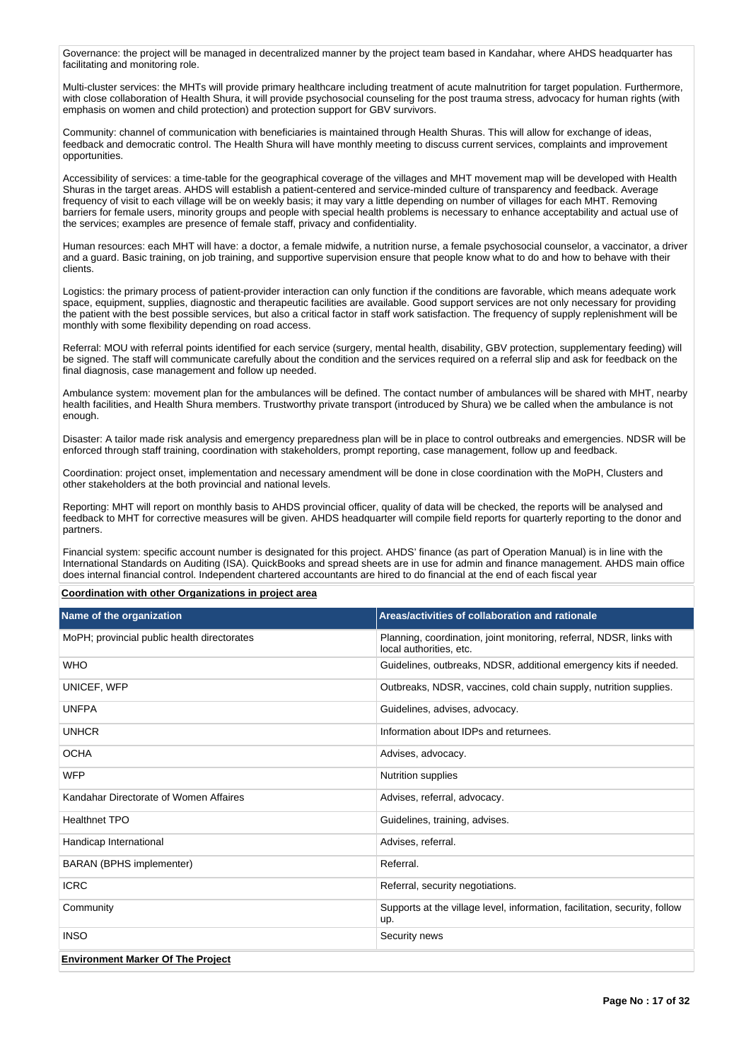Governance: the project will be managed in decentralized manner by the project team based in Kandahar, where AHDS headquarter has facilitating and monitoring role.

Multi-cluster services: the MHTs will provide primary healthcare including treatment of acute malnutrition for target population. Furthermore, with close collaboration of Health Shura, it will provide psychosocial counseling for the post trauma stress, advocacy for human rights (with emphasis on women and child protection) and protection support for GBV survivors.

Community: channel of communication with beneficiaries is maintained through Health Shuras. This will allow for exchange of ideas, feedback and democratic control. The Health Shura will have monthly meeting to discuss current services, complaints and improvement opportunities.

Accessibility of services: a time-table for the geographical coverage of the villages and MHT movement map will be developed with Health Shuras in the target areas. AHDS will establish a patient-centered and service-minded culture of transparency and feedback. Average frequency of visit to each village will be on weekly basis; it may vary a little depending on number of villages for each MHT. Removing barriers for female users, minority groups and people with special health problems is necessary to enhance acceptability and actual use of the services; examples are presence of female staff, privacy and confidentiality.

Human resources: each MHT will have: a doctor, a female midwife, a nutrition nurse, a female psychosocial counselor, a vaccinator, a driver and a guard. Basic training, on job training, and supportive supervision ensure that people know what to do and how to behave with their clients.

Logistics: the primary process of patient-provider interaction can only function if the conditions are favorable, which means adequate work space, equipment, supplies, diagnostic and therapeutic facilities are available. Good support services are not only necessary for providing the patient with the best possible services, but also a critical factor in staff work satisfaction. The frequency of supply replenishment will be monthly with some flexibility depending on road access.

Referral: MOU with referral points identified for each service (surgery, mental health, disability, GBV protection, supplementary feeding) will be signed. The staff will communicate carefully about the condition and the services required on a referral slip and ask for feedback on the final diagnosis, case management and follow up needed.

Ambulance system: movement plan for the ambulances will be defined. The contact number of ambulances will be shared with MHT, nearby health facilities, and Health Shura members. Trustworthy private transport (introduced by Shura) we be called when the ambulance is not enough.

Disaster: A tailor made risk analysis and emergency preparedness plan will be in place to control outbreaks and emergencies. NDSR will be enforced through staff training, coordination with stakeholders, prompt reporting, case management, follow up and feedback.

Coordination: project onset, implementation and necessary amendment will be done in close coordination with the MoPH, Clusters and other stakeholders at the both provincial and national levels.

Reporting: MHT will report on monthly basis to AHDS provincial officer, quality of data will be checked, the reports will be analysed and feedback to MHT for corrective measures will be given. AHDS headquarter will compile field reports for quarterly reporting to the donor and partners.

Financial system: specific account number is designated for this project. AHDS' finance (as part of Operation Manual) is in line with the International Standards on Auditing (ISA). QuickBooks and spread sheets are in use for admin and finance management. AHDS main office does internal financial control. Independent chartered accountants are hired to do financial at the end of each fiscal year

### **Coordination with other Organizations in project area**

| Name of the organization                    | Areas/activities of collaboration and rationale                                                 |
|---------------------------------------------|-------------------------------------------------------------------------------------------------|
| MoPH; provincial public health directorates | Planning, coordination, joint monitoring, referral, NDSR, links with<br>local authorities, etc. |
| <b>WHO</b>                                  | Guidelines, outbreaks, NDSR, additional emergency kits if needed.                               |
| UNICEF, WFP                                 | Outbreaks, NDSR, vaccines, cold chain supply, nutrition supplies.                               |
| <b>UNFPA</b>                                | Guidelines, advises, advocacy.                                                                  |
| <b>UNHCR</b>                                | Information about IDPs and returnees.                                                           |
| <b>OCHA</b>                                 | Advises, advocacy.                                                                              |
| <b>WFP</b>                                  | <b>Nutrition supplies</b>                                                                       |
| Kandahar Directorate of Women Affaires      | Advises, referral, advocacy.                                                                    |
| <b>Healthnet TPO</b>                        | Guidelines, training, advises.                                                                  |
| Handicap International                      | Advises, referral.                                                                              |
| <b>BARAN (BPHS implementer)</b>             | Referral.                                                                                       |
| <b>ICRC</b>                                 | Referral, security negotiations.                                                                |
| Community                                   | Supports at the village level, information, facilitation, security, follow<br>up.               |
| <b>INSO</b>                                 | Security news                                                                                   |
| <b>Environment Marker Of The Project</b>    |                                                                                                 |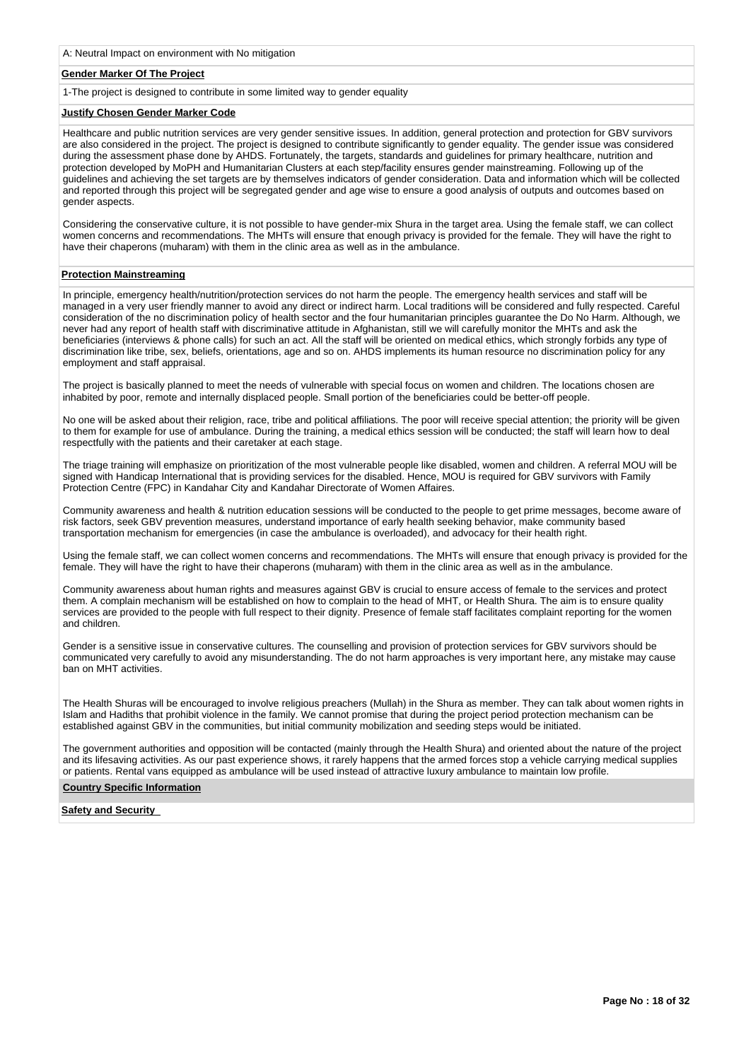A: Neutral Impact on environment with No mitigation

# **Gender Marker Of The Project**

1-The project is designed to contribute in some limited way to gender equality

# **Justify Chosen Gender Marker Code**

Healthcare and public nutrition services are very gender sensitive issues. In addition, general protection and protection for GBV survivors are also considered in the project. The project is designed to contribute significantly to gender equality. The gender issue was considered during the assessment phase done by AHDS. Fortunately, the targets, standards and guidelines for primary healthcare, nutrition and protection developed by MoPH and Humanitarian Clusters at each step/facility ensures gender mainstreaming. Following up of the guidelines and achieving the set targets are by themselves indicators of gender consideration. Data and information which will be collected and reported through this project will be segregated gender and age wise to ensure a good analysis of outputs and outcomes based on gender aspects.

Considering the conservative culture, it is not possible to have gender-mix Shura in the target area. Using the female staff, we can collect women concerns and recommendations. The MHTs will ensure that enough privacy is provided for the female. They will have the right to have their chaperons (muharam) with them in the clinic area as well as in the ambulance.

### **Protection Mainstreaming**

In principle, emergency health/nutrition/protection services do not harm the people. The emergency health services and staff will be managed in a very user friendly manner to avoid any direct or indirect harm. Local traditions will be considered and fully respected. Careful consideration of the no discrimination policy of health sector and the four humanitarian principles guarantee the Do No Harm. Although, we never had any report of health staff with discriminative attitude in Afghanistan, still we will carefully monitor the MHTs and ask the beneficiaries (interviews & phone calls) for such an act. All the staff will be oriented on medical ethics, which strongly forbids any type of discrimination like tribe, sex, beliefs, orientations, age and so on. AHDS implements its human resource no discrimination policy for any employment and staff appraisal.

The project is basically planned to meet the needs of vulnerable with special focus on women and children. The locations chosen are inhabited by poor, remote and internally displaced people. Small portion of the beneficiaries could be better-off people.

No one will be asked about their religion, race, tribe and political affiliations. The poor will receive special attention; the priority will be given to them for example for use of ambulance. During the training, a medical ethics session will be conducted; the staff will learn how to deal respectfully with the patients and their caretaker at each stage.

The triage training will emphasize on prioritization of the most vulnerable people like disabled, women and children. A referral MOU will be signed with Handicap International that is providing services for the disabled. Hence, MOU is required for GBV survivors with Family Protection Centre (FPC) in Kandahar City and Kandahar Directorate of Women Affaires.

Community awareness and health & nutrition education sessions will be conducted to the people to get prime messages, become aware of risk factors, seek GBV prevention measures, understand importance of early health seeking behavior, make community based transportation mechanism for emergencies (in case the ambulance is overloaded), and advocacy for their health right.

Using the female staff, we can collect women concerns and recommendations. The MHTs will ensure that enough privacy is provided for the female. They will have the right to have their chaperons (muharam) with them in the clinic area as well as in the ambulance.

Community awareness about human rights and measures against GBV is crucial to ensure access of female to the services and protect them. A complain mechanism will be established on how to complain to the head of MHT, or Health Shura. The aim is to ensure quality services are provided to the people with full respect to their dignity. Presence of female staff facilitates complaint reporting for the women and children.

Gender is a sensitive issue in conservative cultures. The counselling and provision of protection services for GBV survivors should be communicated very carefully to avoid any misunderstanding. The do not harm approaches is very important here, any mistake may cause ban on MHT activities.

The Health Shuras will be encouraged to involve religious preachers (Mullah) in the Shura as member. They can talk about women rights in Islam and Hadiths that prohibit violence in the family. We cannot promise that during the project period protection mechanism can be established against GBV in the communities, but initial community mobilization and seeding steps would be initiated.

The government authorities and opposition will be contacted (mainly through the Health Shura) and oriented about the nature of the project and its lifesaving activities. As our past experience shows, it rarely happens that the armed forces stop a vehicle carrying medical supplies or patients. Rental vans equipped as ambulance will be used instead of attractive luxury ambulance to maintain low profile.

### **Country Specific Information**

### **Safety and Security**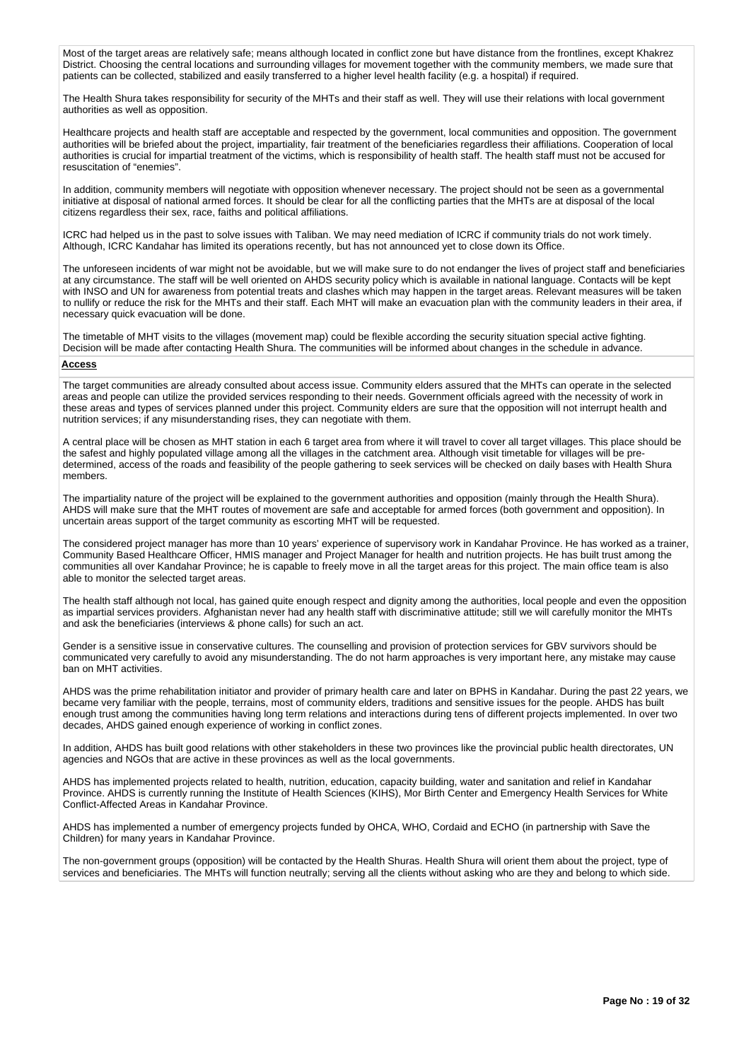Most of the target areas are relatively safe; means although located in conflict zone but have distance from the frontlines, except Khakrez District. Choosing the central locations and surrounding villages for movement together with the community members, we made sure that patients can be collected, stabilized and easily transferred to a higher level health facility (e.g. a hospital) if required.

The Health Shura takes responsibility for security of the MHTs and their staff as well. They will use their relations with local government authorities as well as opposition.

Healthcare projects and health staff are acceptable and respected by the government, local communities and opposition. The government authorities will be briefed about the project, impartiality, fair treatment of the beneficiaries regardless their affiliations. Cooperation of local authorities is crucial for impartial treatment of the victims, which is responsibility of health staff. The health staff must not be accused for resuscitation of "enemies".

In addition, community members will negotiate with opposition whenever necessary. The project should not be seen as a governmental initiative at disposal of national armed forces. It should be clear for all the conflicting parties that the MHTs are at disposal of the local citizens regardless their sex, race, faiths and political affiliations.

ICRC had helped us in the past to solve issues with Taliban. We may need mediation of ICRC if community trials do not work timely. Although, ICRC Kandahar has limited its operations recently, but has not announced yet to close down its Office.

The unforeseen incidents of war might not be avoidable, but we will make sure to do not endanger the lives of project staff and beneficiaries at any circumstance. The staff will be well oriented on AHDS security policy which is available in national language. Contacts will be kept with INSO and UN for awareness from potential treats and clashes which may happen in the target areas. Relevant measures will be taken to nullify or reduce the risk for the MHTs and their staff. Each MHT will make an evacuation plan with the community leaders in their area, if necessary quick evacuation will be done.

The timetable of MHT visits to the villages (movement map) could be flexible according the security situation special active fighting. Decision will be made after contacting Health Shura. The communities will be informed about changes in the schedule in advance.

## **Access**

The target communities are already consulted about access issue. Community elders assured that the MHTs can operate in the selected areas and people can utilize the provided services responding to their needs. Government officials agreed with the necessity of work in these areas and types of services planned under this project. Community elders are sure that the opposition will not interrupt health and nutrition services; if any misunderstanding rises, they can negotiate with them.

A central place will be chosen as MHT station in each 6 target area from where it will travel to cover all target villages. This place should be the safest and highly populated village among all the villages in the catchment area. Although visit timetable for villages will be predetermined, access of the roads and feasibility of the people gathering to seek services will be checked on daily bases with Health Shura members.

The impartiality nature of the project will be explained to the government authorities and opposition (mainly through the Health Shura). AHDS will make sure that the MHT routes of movement are safe and acceptable for armed forces (both government and opposition). In uncertain areas support of the target community as escorting MHT will be requested.

The considered project manager has more than 10 years' experience of supervisory work in Kandahar Province. He has worked as a trainer, Community Based Healthcare Officer, HMIS manager and Project Manager for health and nutrition projects. He has built trust among the communities all over Kandahar Province; he is capable to freely move in all the target areas for this project. The main office team is also able to monitor the selected target areas.

The health staff although not local, has gained quite enough respect and dignity among the authorities, local people and even the opposition as impartial services providers. Afghanistan never had any health staff with discriminative attitude; still we will carefully monitor the MHTs and ask the beneficiaries (interviews & phone calls) for such an act.

Gender is a sensitive issue in conservative cultures. The counselling and provision of protection services for GBV survivors should be communicated very carefully to avoid any misunderstanding. The do not harm approaches is very important here, any mistake may cause ban on MHT activities.

AHDS was the prime rehabilitation initiator and provider of primary health care and later on BPHS in Kandahar. During the past 22 years, we became very familiar with the people, terrains, most of community elders, traditions and sensitive issues for the people. AHDS has built enough trust among the communities having long term relations and interactions during tens of different projects implemented. In over two decades, AHDS gained enough experience of working in conflict zones.

In addition, AHDS has built good relations with other stakeholders in these two provinces like the provincial public health directorates, UN agencies and NGOs that are active in these provinces as well as the local governments.

AHDS has implemented projects related to health, nutrition, education, capacity building, water and sanitation and relief in Kandahar Province. AHDS is currently running the Institute of Health Sciences (KIHS), Mor Birth Center and Emergency Health Services for White Conflict-Affected Areas in Kandahar Province.

AHDS has implemented a number of emergency projects funded by OHCA, WHO, Cordaid and ECHO (in partnership with Save the Children) for many years in Kandahar Province.

The non-government groups (opposition) will be contacted by the Health Shuras. Health Shura will orient them about the project, type of services and beneficiaries. The MHTs will function neutrally; serving all the clients without asking who are they and belong to which side.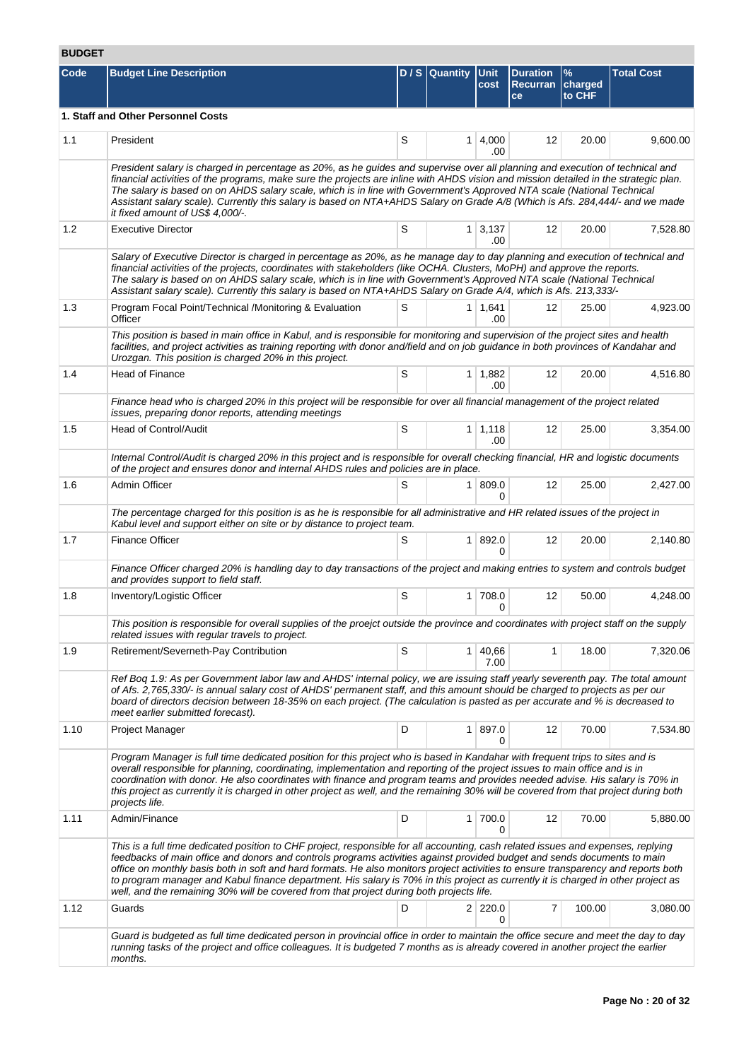# **BUDGET**

| Code | <b>Budget Line Description</b>                                                                                                                                                                                                                                                                                                                                                                                                                                                                                                                                                                                                       |   | $D / S  $ Quantity | <b>Unit</b><br>cost    | <b>Duration</b><br>Recurran charged<br>ce | $\frac{9}{6}$<br>to CHF | <b>Total Cost</b> |
|------|--------------------------------------------------------------------------------------------------------------------------------------------------------------------------------------------------------------------------------------------------------------------------------------------------------------------------------------------------------------------------------------------------------------------------------------------------------------------------------------------------------------------------------------------------------------------------------------------------------------------------------------|---|--------------------|------------------------|-------------------------------------------|-------------------------|-------------------|
|      | 1. Staff and Other Personnel Costs                                                                                                                                                                                                                                                                                                                                                                                                                                                                                                                                                                                                   |   |                    |                        |                                           |                         |                   |
| 1.1  | President                                                                                                                                                                                                                                                                                                                                                                                                                                                                                                                                                                                                                            | S | 1                  | 4,000<br>.00           | 12                                        | 20.00                   | 9,600.00          |
|      | President salary is charged in percentage as 20%, as he guides and supervise over all planning and execution of technical and<br>financial activities of the programs, make sure the projects are inline with AHDS vision and mission detailed in the strategic plan.<br>The salary is based on on AHDS salary scale, which is in line with Government's Approved NTA scale (National Technical<br>Assistant salary scale). Currently this salary is based on NTA+AHDS Salary on Grade A/8 (Which is Afs. 284,444/- and we made<br>it fixed amount of US\$ 4,000/-.                                                                  |   |                    |                        |                                           |                         |                   |
| 1.2  | <b>Executive Director</b>                                                                                                                                                                                                                                                                                                                                                                                                                                                                                                                                                                                                            | S |                    | $1 \mid 3,137$<br>.00  | 12                                        | 20.00                   | 7,528.80          |
|      | Salary of Executive Director is charged in percentage as 20%, as he manage day to day planning and execution of technical and<br>financial activities of the projects, coordinates with stakeholders (like OCHA. Clusters, MoPH) and approve the reports.<br>The salary is based on on AHDS salary scale, which is in line with Government's Approved NTA scale (National Technical<br>Assistant salary scale). Currently this salary is based on NTA+AHDS Salary on Grade A/4, which is Afs. 213,333/-                                                                                                                              |   |                    |                        |                                           |                         |                   |
| 1.3  | Program Focal Point/Technical /Monitoring & Evaluation<br>Officer                                                                                                                                                                                                                                                                                                                                                                                                                                                                                                                                                                    | S |                    | $1 \quad 1.641$<br>.00 | 12                                        | 25.00                   | 4,923.00          |
|      | This position is based in main office in Kabul, and is responsible for monitoring and supervision of the project sites and health<br>facilities, and project activities as training reporting with donor and/field and on job quidance in both provinces of Kandahar and<br>Urozgan. This position is charged 20% in this project.                                                                                                                                                                                                                                                                                                   |   |                    |                        |                                           |                         |                   |
| 1.4  | <b>Head of Finance</b>                                                                                                                                                                                                                                                                                                                                                                                                                                                                                                                                                                                                               | S |                    | $1 \mid 1,882$<br>.00  | 12                                        | 20.00                   | 4,516.80          |
|      | Finance head who is charged 20% in this project will be responsible for over all financial management of the project related<br>issues, preparing donor reports, attending meetings                                                                                                                                                                                                                                                                                                                                                                                                                                                  |   |                    |                        |                                           |                         |                   |
| 1.5  | Head of Control/Audit                                                                                                                                                                                                                                                                                                                                                                                                                                                                                                                                                                                                                | S |                    | $1 \mid 1,118$<br>.00  | 12                                        | 25.00                   | 3,354.00          |
|      | Internal Control/Audit is charged 20% in this project and is responsible for overall checking financial, HR and logistic documents<br>of the project and ensures donor and internal AHDS rules and policies are in place.                                                                                                                                                                                                                                                                                                                                                                                                            |   |                    |                        |                                           |                         |                   |
| 1.6  | Admin Officer                                                                                                                                                                                                                                                                                                                                                                                                                                                                                                                                                                                                                        | S | 1 <sup>1</sup>     | 809.0<br>$\Omega$      | 12                                        | 25.00                   | 2,427.00          |
|      | The percentage charged for this position is as he is responsible for all administrative and HR related issues of the project in<br>Kabul level and support either on site or by distance to project team.                                                                                                                                                                                                                                                                                                                                                                                                                            |   |                    |                        |                                           |                         |                   |
| 1.7  | <b>Finance Officer</b>                                                                                                                                                                                                                                                                                                                                                                                                                                                                                                                                                                                                               | S | 1 <sup>1</sup>     | 892.0<br><sup>0</sup>  | 12                                        | 20.00                   | 2,140.80          |
|      | Finance Officer charged 20% is handling day to day transactions of the project and making entries to system and controls budget<br>and provides support to field staff.                                                                                                                                                                                                                                                                                                                                                                                                                                                              |   |                    |                        |                                           |                         |                   |
| 1.8  | Inventory/Logistic Officer                                                                                                                                                                                                                                                                                                                                                                                                                                                                                                                                                                                                           | S | 1 <sup>1</sup>     | 708.0<br>0             | 12                                        | 50.00                   | 4.248.00          |
|      | This position is responsible for overall supplies of the proejct outside the province and coordinates with project staff on the supply<br>related issues with regular travels to project.                                                                                                                                                                                                                                                                                                                                                                                                                                            |   |                    |                        |                                           |                         |                   |
| 1.9  | Retirement/Severneth-Pay Contribution                                                                                                                                                                                                                                                                                                                                                                                                                                                                                                                                                                                                | S | 1 <sup>1</sup>     | 40,66<br>7.00          | 1                                         | 18.00                   | 7,320.06          |
|      | Ref Boq 1.9: As per Government labor law and AHDS' internal policy, we are issuing staff yearly severenth pay. The total amount<br>of Afs. 2,765,330/- is annual salary cost of AHDS' permanent staff, and this amount should be charged to projects as per our<br>board of directors decision between 18-35% on each project. (The calculation is pasted as per accurate and % is decreased to<br>meet earlier submitted forecast).                                                                                                                                                                                                 |   |                    |                        |                                           |                         |                   |
| 1.10 | <b>Project Manager</b>                                                                                                                                                                                                                                                                                                                                                                                                                                                                                                                                                                                                               | D | 1 <sup>1</sup>     | 897.0<br>0             | 12                                        | 70.00                   | 7,534.80          |
|      | Program Manager is full time dedicated position for this project who is based in Kandahar with frequent trips to sites and is<br>overall responsible for planning, coordinating, implementation and reporting of the project issues to main office and is in<br>coordination with donor. He also coordinates with finance and program teams and provides needed advise. His salary is 70% in<br>this project as currently it is charged in other project as well, and the remaining 30% will be covered from that project during both<br>projects life.                                                                              |   |                    |                        |                                           |                         |                   |
| 1.11 | Admin/Finance                                                                                                                                                                                                                                                                                                                                                                                                                                                                                                                                                                                                                        | D | 1 <sup>1</sup>     | 700.0<br>0             | 12                                        | 70.00                   | 5,880.00          |
|      | This is a full time dedicated position to CHF project, responsible for all accounting, cash related issues and expenses, replying<br>feedbacks of main office and donors and controls programs activities against provided budget and sends documents to main<br>office on monthly basis both in soft and hard formats. He also monitors project activities to ensure transparency and reports both<br>to program manager and Kabul finance department. His salary is 70% in this project as currently it is charged in other project as<br>well, and the remaining 30% will be covered from that project during both projects life. |   |                    |                        |                                           |                         |                   |
| 1.12 | Guards                                                                                                                                                                                                                                                                                                                                                                                                                                                                                                                                                                                                                               | D |                    | $2 \mid 220.0$<br>0    | 7                                         | 100.00                  | 3,080.00          |
|      | Guard is budgeted as full time dedicated person in provincial office in order to maintain the office secure and meet the day to day<br>running tasks of the project and office colleagues. It is budgeted 7 months as is already covered in another project the earlier<br>months.                                                                                                                                                                                                                                                                                                                                                   |   |                    |                        |                                           |                         |                   |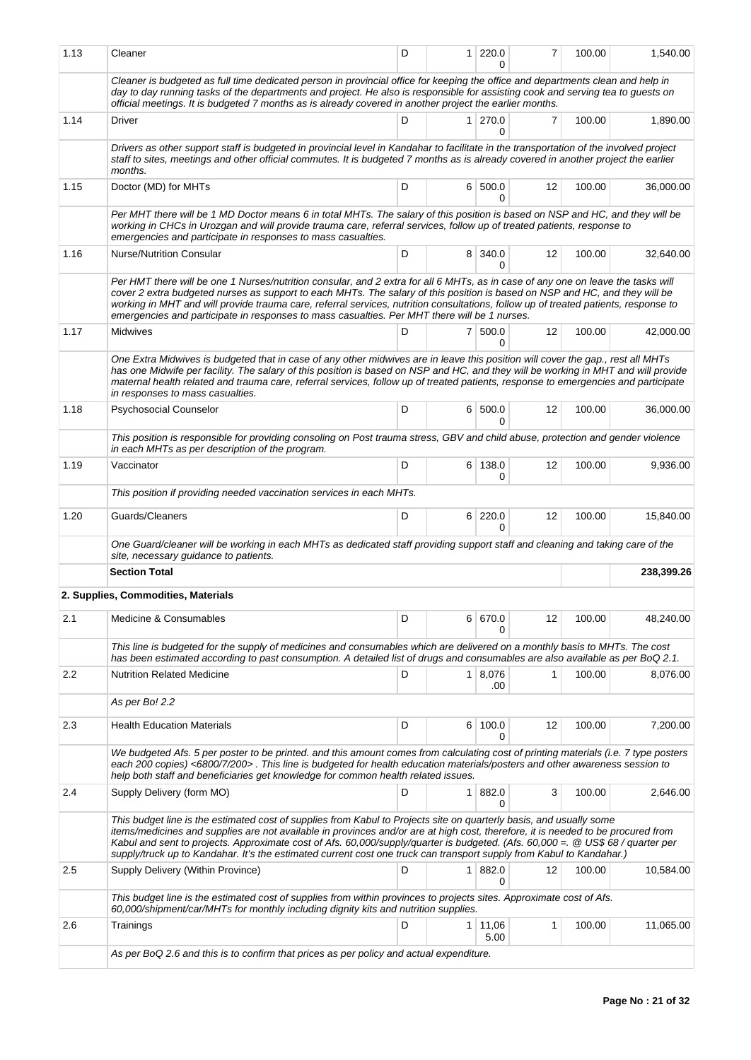| 1.13 | Cleaner                                                                                                                                                                                                                                                                                                                                                                                                                                                                                                            | D | $\mathbf{1}$   | 220.0                  | 7  | 100.00 | 1,540.00   |
|------|--------------------------------------------------------------------------------------------------------------------------------------------------------------------------------------------------------------------------------------------------------------------------------------------------------------------------------------------------------------------------------------------------------------------------------------------------------------------------------------------------------------------|---|----------------|------------------------|----|--------|------------|
|      | Cleaner is budgeted as full time dedicated person in provincial office for keeping the office and departments clean and help in<br>day to day running tasks of the departments and project. He also is responsible for assisting cook and serving tea to guests on<br>official meetings. It is budgeted 7 months as is already covered in another project the earlier months.                                                                                                                                      |   |                |                        |    |        |            |
| 1.14 | Driver                                                                                                                                                                                                                                                                                                                                                                                                                                                                                                             | D |                | $1 \mid 270.0$<br>0    | 7  | 100.00 | 1,890.00   |
|      | Drivers as other support staff is budgeted in provincial level in Kandahar to facilitate in the transportation of the involved project<br>staff to sites, meetings and other official commutes. It is budgeted 7 months as is already covered in another project the earlier<br>months.                                                                                                                                                                                                                            |   |                |                        |    |        |            |
| 1.15 | Doctor (MD) for MHTs                                                                                                                                                                                                                                                                                                                                                                                                                                                                                               | D |                | 6 500.0<br>0           | 12 | 100.00 | 36,000.00  |
|      | Per MHT there will be 1 MD Doctor means 6 in total MHTs. The salary of this position is based on NSP and HC, and they will be<br>working in CHCs in Urozgan and will provide trauma care, referral services, follow up of treated patients, response to<br>emergencies and participate in responses to mass casualties.                                                                                                                                                                                            |   |                |                        |    |        |            |
| 1.16 | <b>Nurse/Nutrition Consular</b>                                                                                                                                                                                                                                                                                                                                                                                                                                                                                    | D |                | 8 340.0<br>0           | 12 | 100.00 | 32,640.00  |
|      | Per HMT there will be one 1 Nurses/nutrition consular, and 2 extra for all 6 MHTs, as in case of any one on leave the tasks will<br>cover 2 extra budgeted nurses as support to each MHTs. The salary of this position is based on NSP and HC, and they will be<br>working in MHT and will provide trauma care, referral services, nutrition consultations, follow up of treated patients, response to<br>emergencies and participate in responses to mass casualties. Per MHT there will be 1 nurses.             |   |                |                        |    |        |            |
| 1.17 | Midwives                                                                                                                                                                                                                                                                                                                                                                                                                                                                                                           | D |                | 7 500.0<br>0           | 12 | 100.00 | 42,000.00  |
|      | One Extra Midwives is budgeted that in case of any other midwives are in leave this position will cover the gap., rest all MHTs<br>has one Midwife per facility. The salary of this position is based on NSP and HC, and they will be working in MHT and will provide<br>maternal health related and trauma care, referral services, follow up of treated patients, response to emergencies and participate<br>in responses to mass casualties.                                                                    |   |                |                        |    |        |            |
| 1.18 | Psychosocial Counselor                                                                                                                                                                                                                                                                                                                                                                                                                                                                                             | D |                | 6 500.0<br>0           | 12 | 100.00 | 36,000.00  |
|      | This position is responsible for providing consoling on Post trauma stress, GBV and child abuse, protection and gender violence<br>in each MHTs as per description of the program.                                                                                                                                                                                                                                                                                                                                 |   |                |                        |    |        |            |
| 1.19 | Vaccinator                                                                                                                                                                                                                                                                                                                                                                                                                                                                                                         | D |                | 6 138.0<br>0           | 12 | 100.00 | 9,936.00   |
|      | This position if providing needed vaccination services in each MHTs.                                                                                                                                                                                                                                                                                                                                                                                                                                               |   |                |                        |    |        |            |
| 1.20 | Guards/Cleaners                                                                                                                                                                                                                                                                                                                                                                                                                                                                                                    | D |                | 6 220.0<br>0           | 12 | 100.00 | 15,840.00  |
|      | One Guard/cleaner will be working in each MHTs as dedicated staff providing support staff and cleaning and taking care of the<br>site, necessary guidance to patients.                                                                                                                                                                                                                                                                                                                                             |   |                |                        |    |        |            |
|      | <b>Section Total</b>                                                                                                                                                                                                                                                                                                                                                                                                                                                                                               |   |                |                        |    |        | 238,399.26 |
|      | 2. Supplies, Commodities, Materials                                                                                                                                                                                                                                                                                                                                                                                                                                                                                |   |                |                        |    |        |            |
| 2.1  | Medicine & Consumables                                                                                                                                                                                                                                                                                                                                                                                                                                                                                             | D |                | 6 670.0                | 12 | 100.00 | 48,240.00  |
|      | This line is budgeted for the supply of medicines and consumables which are delivered on a monthly basis to MHTs. The cost<br>has been estimated according to past consumption. A detailed list of drugs and consumables are also available as per BoQ 2.1.                                                                                                                                                                                                                                                        |   |                |                        |    |        |            |
| 2.2  | <b>Nutrition Related Medicine</b>                                                                                                                                                                                                                                                                                                                                                                                                                                                                                  | D | 1 <sup>1</sup> | 8,076<br>.00           | 1  | 100.00 | 8,076.00   |
|      | As per Bo! 2.2                                                                                                                                                                                                                                                                                                                                                                                                                                                                                                     |   |                |                        |    |        |            |
| 2.3  | <b>Health Education Materials</b>                                                                                                                                                                                                                                                                                                                                                                                                                                                                                  | D |                | 6 100.0                | 12 | 100.00 | 7,200.00   |
|      | We budgeted Afs. 5 per poster to be printed. and this amount comes from calculating cost of printing materials (i.e. 7 type posters<br>each 200 copies) <6800/7/200>. This line is budgeted for health education materials/posters and other awareness session to<br>help both staff and beneficiaries get knowledge for common health related issues.                                                                                                                                                             |   |                |                        |    |        |            |
| 2.4  | Supply Delivery (form MO)                                                                                                                                                                                                                                                                                                                                                                                                                                                                                          | D | $\mathbf{1}$   | 882.0<br>0             | 3  | 100.00 | 2,646.00   |
|      | This budget line is the estimated cost of supplies from Kabul to Projects site on quarterly basis, and usually some<br>items/medicines and supplies are not available in provinces and/or are at high cost, therefore, it is needed to be procured from<br>Kabul and sent to projects. Approximate cost of Afs. 60,000/supply/quarter is budgeted. (Afs. 60,000 =. @ US\$ 68 / quarter per<br>supply/truck up to Kandahar. It's the estimated current cost one truck can transport supply from Kabul to Kandahar.) |   |                |                        |    |        |            |
| 2.5  | Supply Delivery (Within Province)                                                                                                                                                                                                                                                                                                                                                                                                                                                                                  | D | 1              | 882.0<br>0             | 12 | 100.00 | 10,584.00  |
|      | This budget line is the estimated cost of supplies from within provinces to projects sites. Approximate cost of Afs.<br>60,000/shipment/car/MHTs for monthly including dignity kits and nutrition supplies.                                                                                                                                                                                                                                                                                                        |   |                |                        |    |        |            |
| 2.6  | Trainings                                                                                                                                                                                                                                                                                                                                                                                                                                                                                                          | D |                | $1 \mid 11,06$<br>5.00 | 1  | 100.00 | 11,065.00  |
|      | As per BoQ 2.6 and this is to confirm that prices as per policy and actual expenditure.                                                                                                                                                                                                                                                                                                                                                                                                                            |   |                |                        |    |        |            |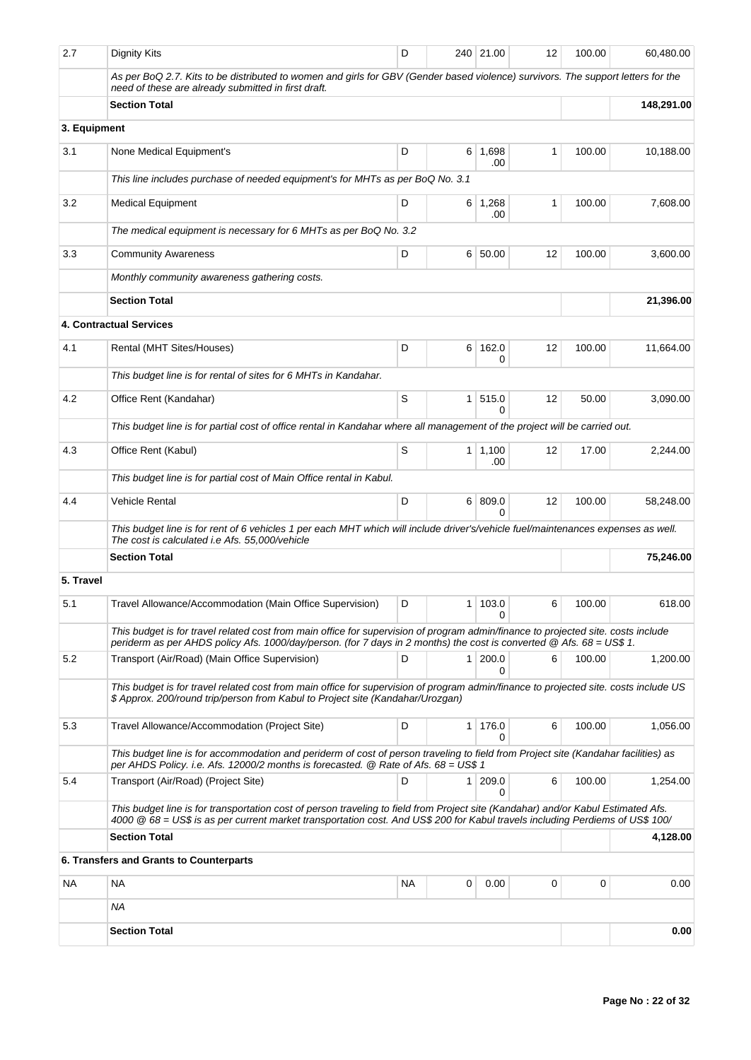| 2.7          | Dignity Kits                                                                                                                                                                                                                                                       | D      |          | 240 21.00             | 12 | 100.00 | 60,480.00  |
|--------------|--------------------------------------------------------------------------------------------------------------------------------------------------------------------------------------------------------------------------------------------------------------------|--------|----------|-----------------------|----|--------|------------|
|              | As per BoQ 2.7. Kits to be distributed to women and girls for GBV (Gender based violence) survivors. The support letters for the<br>need of these are already submitted in first draft.                                                                            |        |          |                       |    |        |            |
|              | <b>Section Total</b>                                                                                                                                                                                                                                               |        |          |                       |    |        | 148,291.00 |
| 3. Equipment |                                                                                                                                                                                                                                                                    |        |          |                       |    |        |            |
| 3.1          | None Medical Equipment's                                                                                                                                                                                                                                           | D      | 6        | 1,698<br>.00          | 1  | 100.00 | 10,188.00  |
|              | This line includes purchase of needed equipment's for MHTs as per BoQ No. 3.1                                                                                                                                                                                      |        |          |                       |    |        |            |
| 3.2          | <b>Medical Equipment</b>                                                                                                                                                                                                                                           | 100.00 | 7,608.00 |                       |    |        |            |
|              | The medical equipment is necessary for 6 MHTs as per BoQ No. 3.2                                                                                                                                                                                                   |        |          |                       |    |        |            |
| 3.3          | <b>Community Awareness</b>                                                                                                                                                                                                                                         | D      | 6        | 50.00                 | 12 | 100.00 | 3,600.00   |
|              | Monthly community awareness gathering costs.                                                                                                                                                                                                                       |        |          |                       |    |        |            |
|              | <b>Section Total</b>                                                                                                                                                                                                                                               |        |          |                       |    |        | 21,396.00  |
|              | <b>4. Contractual Services</b>                                                                                                                                                                                                                                     |        |          |                       |    |        |            |
| 4.1          | Rental (MHT Sites/Houses)                                                                                                                                                                                                                                          | D      | 6        | 162.0<br>0            | 12 | 100.00 | 11,664.00  |
|              | This budget line is for rental of sites for 6 MHTs in Kandahar.                                                                                                                                                                                                    |        |          |                       |    |        |            |
| 4.2          | Office Rent (Kandahar)                                                                                                                                                                                                                                             | S      | 1        | 515.0<br>$\Omega$     | 12 | 50.00  | 3,090.00   |
|              | This budget line is for partial cost of office rental in Kandahar where all management of the project will be carried out.                                                                                                                                         |        |          |                       |    |        |            |
| 4.3          | Office Rent (Kabul)                                                                                                                                                                                                                                                | S      |          | $1 \mid 1,100$<br>.00 | 12 | 17.00  | 2,244.00   |
|              | This budget line is for partial cost of Main Office rental in Kabul.                                                                                                                                                                                               |        |          |                       |    |        |            |
| 4.4          | Vehicle Rental                                                                                                                                                                                                                                                     | 12     | 100.00   | 58,248.00             |    |        |            |
|              | This budget line is for rent of 6 vehicles 1 per each MHT which will include driver's/vehicle fuel/maintenances expenses as well.<br>The cost is calculated i.e Afs. 55,000/vehicle                                                                                |        |          |                       |    |        |            |
|              | <b>Section Total</b>                                                                                                                                                                                                                                               |        |          |                       |    |        | 75,246.00  |
| 5. Travel    |                                                                                                                                                                                                                                                                    |        |          |                       |    |        |            |
| 5.1          | Travel Allowance/Accommodation (Main Office Supervision)                                                                                                                                                                                                           | D      |          | 1 103.0<br>0          | 6  | 100.00 | 618.00     |
|              | This budget is for travel related cost from main office for supervision of program admin/finance to projected site. costs include<br>periderm as per AHDS policy Afs. 1000/day/person. (for 7 days in 2 months) the cost is converted @ Afs. 68 = US\$ 1.          |        |          |                       |    |        |            |
| 5.2          | Transport (Air/Road) (Main Office Supervision)                                                                                                                                                                                                                     | D      | 1        | 200.0<br>0            | 6  | 100.00 | 1,200.00   |
|              | This budget is for travel related cost from main office for supervision of program admin/finance to projected site, costs include US<br>\$ Approx. 200/round trip/person from Kabul to Project site (Kandahar/Urozgan)                                             |        |          |                       |    |        |            |
| 5.3          | Travel Allowance/Accommodation (Project Site)                                                                                                                                                                                                                      | D      | 1        | 176.0<br>$\Omega$     | 6  | 100.00 | 1,056.00   |
|              | This budget line is for accommodation and periderm of cost of person traveling to field from Project site (Kandahar facilities) as<br>per AHDS Policy. i.e. Afs. 12000/2 months is forecasted. @ Rate of Afs. 68 = US\$ 1                                          |        |          |                       |    |        |            |
| 5.4          | Transport (Air/Road) (Project Site)                                                                                                                                                                                                                                | D      | 1        | 209.0<br>0            | 6  | 100.00 | 1,254.00   |
|              | This budget line is for transportation cost of person traveling to field from Project site (Kandahar) and/or Kabul Estimated Afs.<br>4000 @ 68 = US\$ is as per current market transportation cost. And US\$ 200 for Kabul travels including Perdiems of US\$ 100/ |        |          |                       |    |        |            |
|              | <b>Section Total</b>                                                                                                                                                                                                                                               |        |          |                       |    |        | 4,128.00   |
|              | 6. Transfers and Grants to Counterparts                                                                                                                                                                                                                            |        |          |                       |    |        |            |
| NA.          | <b>NA</b>                                                                                                                                                                                                                                                          | ΝA     | 0        | 0.00                  | 0  | 0      | 0.00       |
|              | ΝA                                                                                                                                                                                                                                                                 |        |          |                       |    |        |            |
|              | <b>Section Total</b>                                                                                                                                                                                                                                               |        |          |                       |    |        | 0.00       |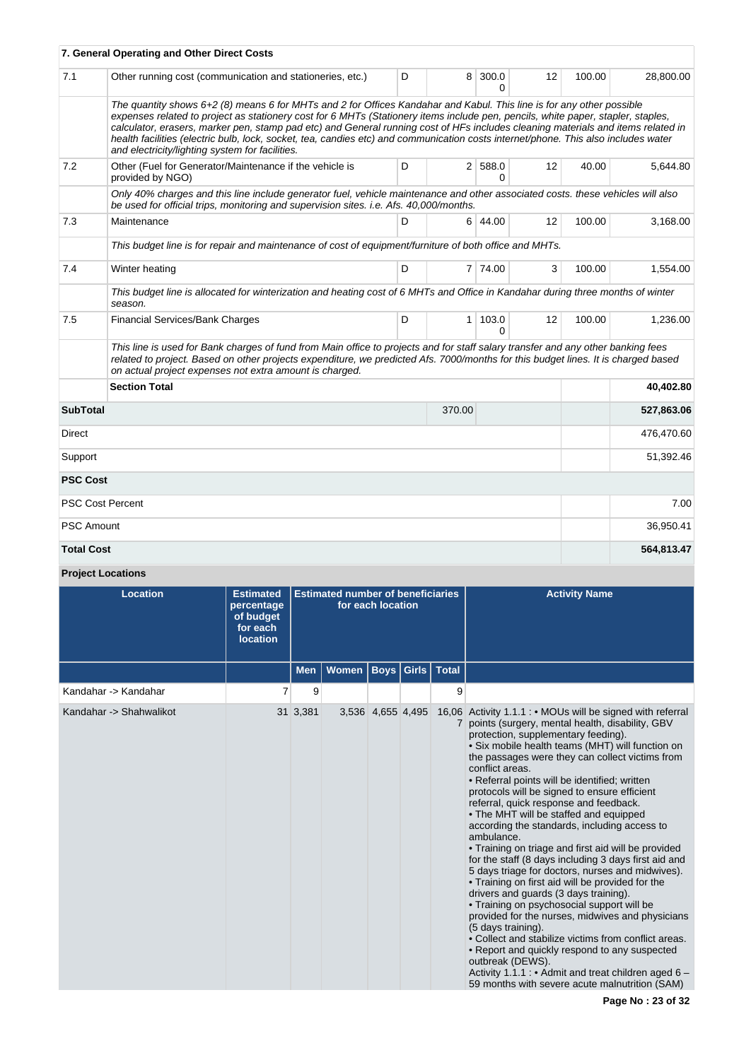|                   | 7. General Operating and Other Direct Costs                                                                                                                                                                                                                                                                                                                                                                                                                                                                                                                                            |   |        |                                |    |        |            |
|-------------------|----------------------------------------------------------------------------------------------------------------------------------------------------------------------------------------------------------------------------------------------------------------------------------------------------------------------------------------------------------------------------------------------------------------------------------------------------------------------------------------------------------------------------------------------------------------------------------------|---|--------|--------------------------------|----|--------|------------|
| 7.1               | Other running cost (communication and stationeries, etc.)                                                                                                                                                                                                                                                                                                                                                                                                                                                                                                                              | D |        | 8 300.0<br>0                   | 12 | 100.00 | 28,800.00  |
|                   | The quantity shows 6+2 (8) means 6 for MHTs and 2 for Offices Kandahar and Kabul. This line is for any other possible<br>expenses related to project as stationery cost for 6 MHTs (Stationery items include pen, pencils, white paper, stapler, staples,<br>calculator, erasers, marker pen, stamp pad etc) and General running cost of HFs includes cleaning materials and items related in<br>health facilities (electric bulb, lock, socket, tea, candies etc) and communication costs internet/phone. This also includes water<br>and electricity/lighting system for facilities. |   |        |                                |    |        |            |
| 7.2               | Other (Fuel for Generator/Maintenance if the vehicle is<br>provided by NGO)                                                                                                                                                                                                                                                                                                                                                                                                                                                                                                            | D |        | 2 588.0<br>0                   | 12 | 40.00  | 5,644.80   |
|                   | Only 40% charges and this line include generator fuel, vehicle maintenance and other associated costs. these vehicles will also<br>be used for official trips, monitoring and supervision sites. i.e. Afs. 40,000/months.                                                                                                                                                                                                                                                                                                                                                              |   |        |                                |    |        |            |
| 7.3               | Maintenance                                                                                                                                                                                                                                                                                                                                                                                                                                                                                                                                                                            | D |        | 6 44.00                        | 12 | 100.00 | 3,168.00   |
|                   | This budget line is for repair and maintenance of cost of equipment/furniture of both office and MHTs.                                                                                                                                                                                                                                                                                                                                                                                                                                                                                 |   |        |                                |    |        |            |
| 7.4               | Winter heating                                                                                                                                                                                                                                                                                                                                                                                                                                                                                                                                                                         | D |        | 7 74.00                        | 3  | 100.00 | 1,554.00   |
|                   | This budget line is allocated for winterization and heating cost of 6 MHTs and Office in Kandahar during three months of winter<br>season.                                                                                                                                                                                                                                                                                                                                                                                                                                             |   |        |                                |    |        |            |
| 7.5               | <b>Financial Services/Bank Charges</b>                                                                                                                                                                                                                                                                                                                                                                                                                                                                                                                                                 | D |        | $1 \mid 103.0$<br><sup>0</sup> | 12 | 100.00 | 1,236.00   |
|                   | This line is used for Bank charges of fund from Main office to projects and for staff salary transfer and any other banking fees<br>related to project. Based on other projects expenditure, we predicted Afs. 7000/months for this budget lines. It is charged based<br>on actual project expenses not extra amount is charged.                                                                                                                                                                                                                                                       |   |        |                                |    |        |            |
|                   | <b>Section Total</b>                                                                                                                                                                                                                                                                                                                                                                                                                                                                                                                                                                   |   |        |                                |    |        | 40,402.80  |
| <b>SubTotal</b>   |                                                                                                                                                                                                                                                                                                                                                                                                                                                                                                                                                                                        |   | 370.00 |                                |    |        | 527,863.06 |
| Direct            |                                                                                                                                                                                                                                                                                                                                                                                                                                                                                                                                                                                        |   |        |                                |    |        | 476,470.60 |
| Support           |                                                                                                                                                                                                                                                                                                                                                                                                                                                                                                                                                                                        |   |        |                                |    |        | 51,392.46  |
| <b>PSC Cost</b>   |                                                                                                                                                                                                                                                                                                                                                                                                                                                                                                                                                                                        |   |        |                                |    |        |            |
|                   | <b>PSC Cost Percent</b>                                                                                                                                                                                                                                                                                                                                                                                                                                                                                                                                                                |   |        |                                |    |        | 7.00       |
| <b>PSC Amount</b> |                                                                                                                                                                                                                                                                                                                                                                                                                                                                                                                                                                                        |   |        |                                |    |        | 36,950.41  |
| <b>Total Cost</b> |                                                                                                                                                                                                                                                                                                                                                                                                                                                                                                                                                                                        |   |        |                                |    |        | 564,813.47 |

# **Project Locations**

| <b>Location</b>         | <b>Estimated</b><br>percentage<br>of budget<br>for each<br><b>location</b> | <b>Estimated number of beneficiaries</b><br>for each location |       |                   |  |                      | <b>Activity Name</b>                                                                                                                                                                                                                                                                                                                                                                                                                                                                                                                                                                                                                                                                                                                                                                                                                                                                                                                                                                                                                                                                                                                                             |
|-------------------------|----------------------------------------------------------------------------|---------------------------------------------------------------|-------|-------------------|--|----------------------|------------------------------------------------------------------------------------------------------------------------------------------------------------------------------------------------------------------------------------------------------------------------------------------------------------------------------------------------------------------------------------------------------------------------------------------------------------------------------------------------------------------------------------------------------------------------------------------------------------------------------------------------------------------------------------------------------------------------------------------------------------------------------------------------------------------------------------------------------------------------------------------------------------------------------------------------------------------------------------------------------------------------------------------------------------------------------------------------------------------------------------------------------------------|
|                         |                                                                            | <b>Men</b>                                                    | Women |                   |  | Boys   Girls   Total |                                                                                                                                                                                                                                                                                                                                                                                                                                                                                                                                                                                                                                                                                                                                                                                                                                                                                                                                                                                                                                                                                                                                                                  |
| Kandahar -> Kandahar    | 7                                                                          | 9                                                             |       |                   |  | 9                    |                                                                                                                                                                                                                                                                                                                                                                                                                                                                                                                                                                                                                                                                                                                                                                                                                                                                                                                                                                                                                                                                                                                                                                  |
| Kandahar -> Shahwalikot |                                                                            | 31 3,381                                                      |       | 3,536 4,655 4,495 |  |                      | 16,06 Activity 1.1.1 : • MOUs will be signed with referral<br>points (surgery, mental health, disability, GBV<br>protection, supplementary feeding).<br>• Six mobile health teams (MHT) will function on<br>the passages were they can collect victims from<br>conflict areas.<br>• Referral points will be identified; written<br>protocols will be signed to ensure efficient<br>referral, quick response and feedback.<br>• The MHT will be staffed and equipped<br>according the standards, including access to<br>ambulance.<br>• Training on triage and first aid will be provided<br>for the staff (8 days including 3 days first aid and<br>5 days triage for doctors, nurses and midwives).<br>• Training on first aid will be provided for the<br>drivers and guards (3 days training).<br>• Training on psychosocial support will be<br>provided for the nurses, midwives and physicians<br>(5 days training).<br>• Collect and stabilize victims from conflict areas.<br>• Report and quickly respond to any suspected<br>outbreak (DEWS).<br>Activity 1.1.1 : • Admit and treat children aged 6 -<br>59 months with severe acute malnutrition (SAM) |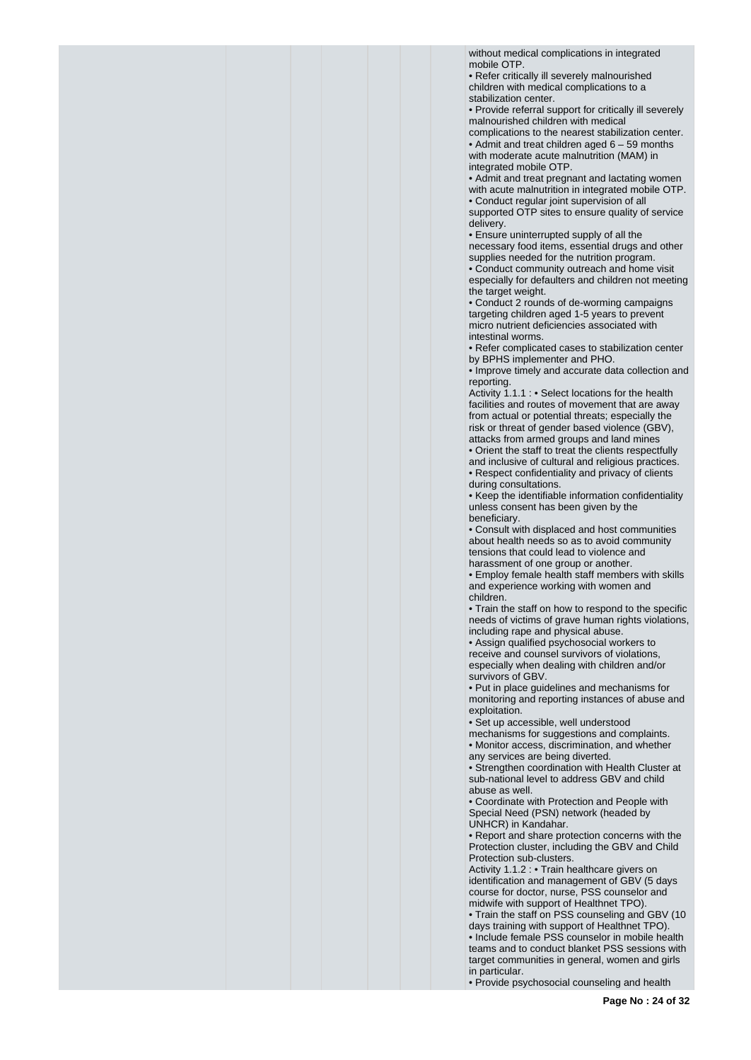without medical complications in integrated mobile OTP.

• Refer critically ill severely malnourished children with medical complications to a stabilization center.

• Provide referral support for critically ill severely malnourished children with medical

complications to the nearest stabilization center. • Admit and treat children aged 6 – 59 months with moderate acute malnutrition (MAM) in integrated mobile OTP.

• Admit and treat pregnant and lactating women with acute malnutrition in integrated mobile OTP.

• Conduct regular joint supervision of all

supported OTP sites to ensure quality of service delivery.

• Ensure uninterrupted supply of all the necessary food items, essential drugs and other supplies needed for the nutrition program.

• Conduct community outreach and home visit especially for defaulters and children not meeting the target weight.

• Conduct 2 rounds of de-worming campaigns targeting children aged 1-5 years to prevent micro nutrient deficiencies associated with intestinal worms.

• Refer complicated cases to stabilization center by BPHS implementer and PHO.

• Improve timely and accurate data collection and reporting.

Activity 1.1.1 : • Select locations for the health facilities and routes of movement that are away from actual or potential threats; especially the risk or threat of gender based violence (GBV), attacks from armed groups and land mines

• Orient the staff to treat the clients respectfully and inclusive of cultural and religious practices. • Respect confidentiality and privacy of clients during consultations.

• Keep the identifiable information confidentiality unless consent has been given by the beneficiary.

• Consult with displaced and host communities about health needs so as to avoid community tensions that could lead to violence and harassment of one group or another.

• Employ female health staff members with skills and experience working with women and children.

• Train the staff on how to respond to the specific needs of victims of grave human rights violations, including rape and physical abuse.

• Assign qualified psychosocial workers to receive and counsel survivors of violations, especially when dealing with children and/or survivors of GBV.

• Put in place guidelines and mechanisms for monitoring and reporting instances of abuse and exploitation.

• Set up accessible, well understood

mechanisms for suggestions and complaints. • Monitor access, discrimination, and whether any services are being diverted.

• Strengthen coordination with Health Cluster at sub-national level to address GBV and child abuse as well.

• Coordinate with Protection and People with Special Need (PSN) network (headed by UNHCR) in Kandahar.

• Report and share protection concerns with the Protection cluster, including the GBV and Child Protection sub-clusters.

Activity 1.1.2 : • Train healthcare givers on identification and management of GBV (5 days course for doctor, nurse, PSS counselor and midwife with support of Healthnet TPO).

• Train the staff on PSS counseling and GBV (10 days training with support of Healthnet TPO). • Include female PSS counselor in mobile health teams and to conduct blanket PSS sessions with

target communities in general, women and girls in particular.

• Provide psychosocial counseling and health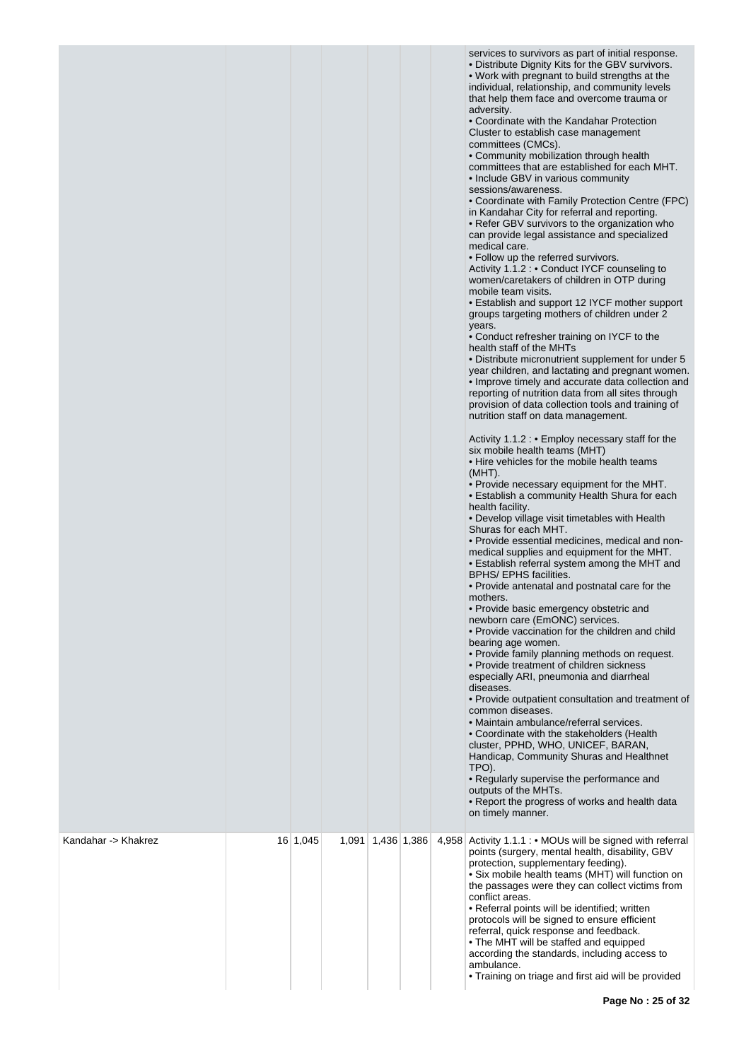|                     |          |       |             |       | services to survivors as part of initial response.<br>• Distribute Dignity Kits for the GBV survivors.<br>. Work with pregnant to build strengths at the<br>individual, relationship, and community levels<br>that help them face and overcome trauma or<br>adversity.<br>• Coordinate with the Kandahar Protection<br>Cluster to establish case management<br>committees (CMCs).<br>• Community mobilization through health<br>committees that are established for each MHT.<br>• Include GBV in various community<br>sessions/awareness.<br>• Coordinate with Family Protection Centre (FPC)<br>in Kandahar City for referral and reporting.<br>• Refer GBV survivors to the organization who<br>can provide legal assistance and specialized<br>medical care.<br>• Follow up the referred survivors.<br>Activity 1.1.2 : • Conduct IYCF counseling to<br>women/caretakers of children in OTP during<br>mobile team visits.<br>• Establish and support 12 IYCF mother support<br>groups targeting mothers of children under 2<br>years.<br>• Conduct refresher training on IYCF to the<br>health staff of the MHTs<br>• Distribute micronutrient supplement for under 5<br>year children, and lactating and pregnant women.<br>• Improve timely and accurate data collection and<br>reporting of nutrition data from all sites through<br>provision of data collection tools and training of<br>nutrition staff on data management.<br>Activity 1.1.2 : • Employ necessary staff for the<br>six mobile health teams (MHT)<br>• Hire vehicles for the mobile health teams<br>$(MHT)$ .<br>. Provide necessary equipment for the MHT.<br>• Establish a community Health Shura for each<br>health facility.<br>• Develop village visit timetables with Health<br>Shuras for each MHT.<br>• Provide essential medicines, medical and non-<br>medical supplies and equipment for the MHT.<br>• Establish referral system among the MHT and<br><b>BPHS/EPHS facilities.</b><br>• Provide antenatal and postnatal care for the<br>mothers.<br>• Provide basic emergency obstetric and<br>newborn care (EmONC) services.<br>• Provide vaccination for the children and child<br>bearing age women.<br>• Provide family planning methods on request.<br>• Provide treatment of children sickness<br>especially ARI, pneumonia and diarrheal<br>diseases.<br>• Provide outpatient consultation and treatment of<br>common diseases.<br>• Maintain ambulance/referral services.<br>• Coordinate with the stakeholders (Health<br>cluster, PPHD, WHO, UNICEF, BARAN,<br>Handicap, Community Shuras and Healthnet<br>TPO).<br>• Regularly supervise the performance and<br>outputs of the MHTs.<br>• Report the progress of works and health data<br>on timely manner. |
|---------------------|----------|-------|-------------|-------|-------------------------------------------------------------------------------------------------------------------------------------------------------------------------------------------------------------------------------------------------------------------------------------------------------------------------------------------------------------------------------------------------------------------------------------------------------------------------------------------------------------------------------------------------------------------------------------------------------------------------------------------------------------------------------------------------------------------------------------------------------------------------------------------------------------------------------------------------------------------------------------------------------------------------------------------------------------------------------------------------------------------------------------------------------------------------------------------------------------------------------------------------------------------------------------------------------------------------------------------------------------------------------------------------------------------------------------------------------------------------------------------------------------------------------------------------------------------------------------------------------------------------------------------------------------------------------------------------------------------------------------------------------------------------------------------------------------------------------------------------------------------------------------------------------------------------------------------------------------------------------------------------------------------------------------------------------------------------------------------------------------------------------------------------------------------------------------------------------------------------------------------------------------------------------------------------------------------------------------------------------------------------------------------------------------------------------------------------------------------------------------------------------------------------------------------------------------------------------------------------------------------------------------------------------------------------------------------------------------------------------------------------------------------------------------------------------------------------------------------------------------|
| Kandahar -> Khakrez | 16 1,045 | 1,091 | 1,436 1,386 | 4,958 | Activity 1.1.1 : • MOUs will be signed with referral<br>points (surgery, mental health, disability, GBV<br>protection, supplementary feeding).<br>· Six mobile health teams (MHT) will function on<br>the passages were they can collect victims from<br>conflict areas.<br>• Referral points will be identified; written<br>protocols will be signed to ensure efficient<br>referral, quick response and feedback.<br>• The MHT will be staffed and equipped<br>according the standards, including access to<br>ambulance.<br>• Training on triage and first aid will be provided                                                                                                                                                                                                                                                                                                                                                                                                                                                                                                                                                                                                                                                                                                                                                                                                                                                                                                                                                                                                                                                                                                                                                                                                                                                                                                                                                                                                                                                                                                                                                                                                                                                                                                                                                                                                                                                                                                                                                                                                                                                                                                                                                                          |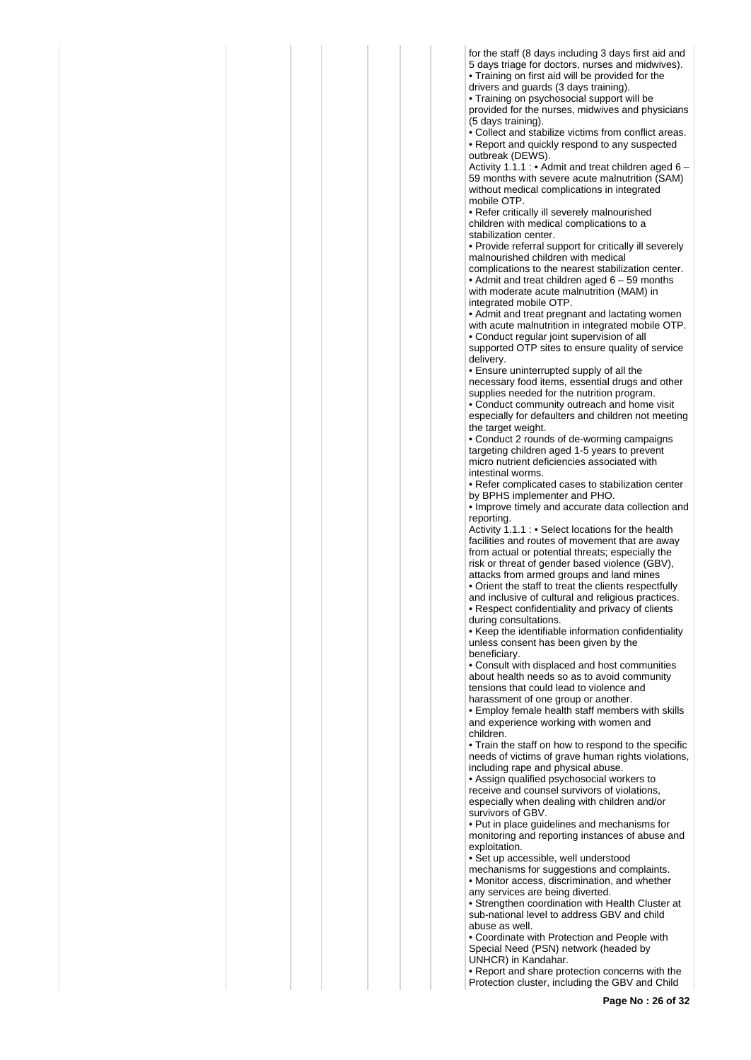for the staff (8 days including 3 days first aid and 5 days triage for doctors, nurses and midwives). • Training on first aid will be provided for the

drivers and guards (3 days training).

• Training on psychosocial support will be provided for the nurses, midwives and physicians (5 days training).

• Collect and stabilize victims from conflict areas. • Report and quickly respond to any suspected outbreak (DEWS).

Activity 1.1.1 : • Admit and treat children aged 6 – 59 months with severe acute malnutrition (SAM) without medical complications in integrated mobile OTP.

• Refer critically ill severely malnourished children with medical complications to a stabilization center.

• Provide referral support for critically ill severely malnourished children with medical

complications to the nearest stabilization center. • Admit and treat children aged 6 – 59 months with moderate acute malnutrition (MAM) in integrated mobile OTP.

• Admit and treat pregnant and lactating women with acute malnutrition in integrated mobile OTP.

• Conduct regular joint supervision of all supported OTP sites to ensure quality of service delivery.

• Ensure uninterrupted supply of all the necessary food items, essential drugs and other supplies needed for the nutrition program. • Conduct community outreach and home visit especially for defaulters and children not meeting

the target weight. • Conduct 2 rounds of de-worming campaigns targeting children aged 1-5 years to prevent micro nutrient deficiencies associated with

intestinal worms.

• Refer complicated cases to stabilization center by BPHS implementer and PHO.

• Improve timely and accurate data collection and reporting.

Activity 1.1.1 : • Select locations for the health facilities and routes of movement that are away from actual or potential threats; especially the risk or threat of gender based violence (GBV), attacks from armed groups and land mines • Orient the staff to treat the clients respectfully

and inclusive of cultural and religious practices. • Respect confidentiality and privacy of clients during consultations.

• Keep the identifiable information confidentiality unless consent has been given by the beneficiary.

• Consult with displaced and host communities about health needs so as to avoid community tensions that could lead to violence and harassment of one group or another.

• Employ female health staff members with skills and experience working with women and children.

• Train the staff on how to respond to the specific needs of victims of grave human rights violations, including rape and physical abuse.

• Assign qualified psychosocial workers to receive and counsel survivors of violations, especially when dealing with children and/or survivors of GBV.

• Put in place guidelines and mechanisms for monitoring and reporting instances of abuse and exploitation.

• Set up accessible, well understood mechanisms for suggestions and complaints. • Monitor access, discrimination, and whether any services are being diverted.

• Strengthen coordination with Health Cluster at sub-national level to address GBV and child abuse as well.

• Coordinate with Protection and People with Special Need (PSN) network (headed by UNHCR) in Kandahar.

• Report and share protection concerns with the Protection cluster, including the GBV and Child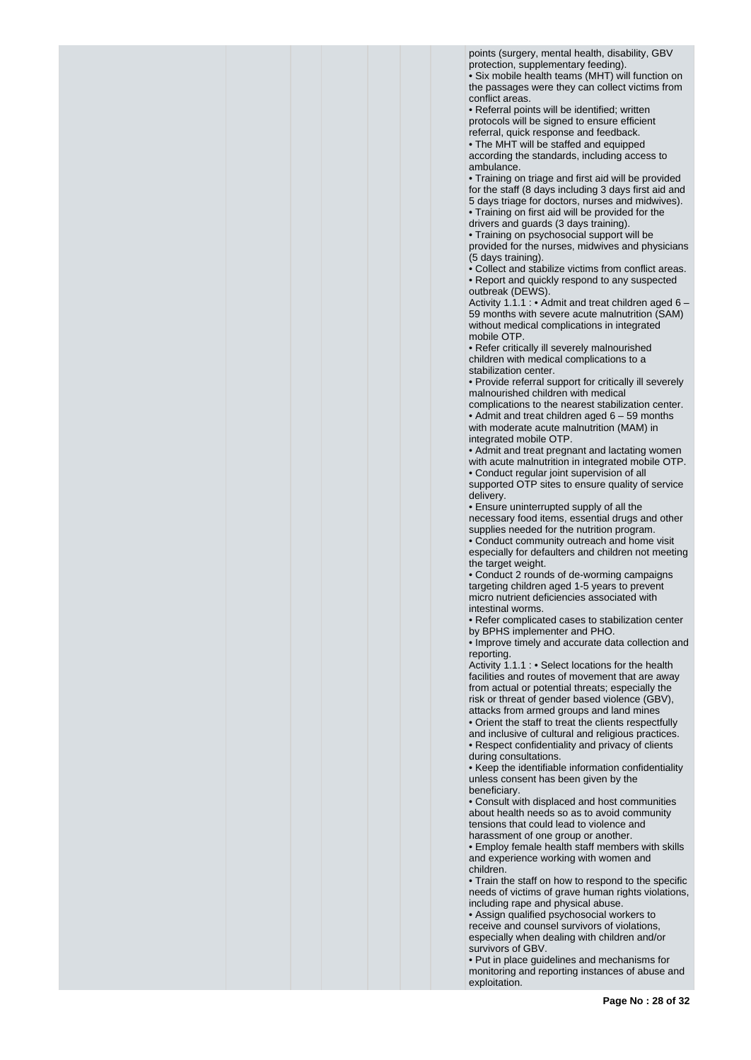points (surgery, mental health, disability, GBV protection, supplementary feeding).

• Six mobile health teams (MHT) will function on the passages were they can collect victims from conflict areas.

• Referral points will be identified; written protocols will be signed to ensure efficient referral, quick response and feedback.

• The MHT will be staffed and equipped according the standards, including access to ambulance.

• Training on triage and first aid will be provided for the staff (8 days including 3 days first aid and

5 days triage for doctors, nurses and midwives).

• Training on first aid will be provided for the drivers and guards (3 days training).

• Training on psychosocial support will be provided for the nurses, midwives and physicians

(5 days training). • Collect and stabilize victims from conflict areas.

• Report and quickly respond to any suspected outbreak (DEWS).

Activity 1.1.1 : • Admit and treat children aged 6 -59 months with severe acute malnutrition (SAM) without medical complications in integrated mobile OTP.

• Refer critically ill severely malnourished children with medical complications to a stabilization center.

• Provide referral support for critically ill severely malnourished children with medical

complications to the nearest stabilization center. • Admit and treat children aged 6 – 59 months with moderate acute malnutrition (MAM) in integrated mobile OTP.

• Admit and treat pregnant and lactating women with acute malnutrition in integrated mobile OTP. • Conduct regular joint supervision of all supported OTP sites to ensure quality of service

delivery.

• Ensure uninterrupted supply of all the necessary food items, essential drugs and other supplies needed for the nutrition program.

• Conduct community outreach and home visit especially for defaulters and children not meeting the target weight.

• Conduct 2 rounds of de-worming campaigns targeting children aged 1-5 years to prevent micro nutrient deficiencies associated with intestinal worms.

• Refer complicated cases to stabilization center by BPHS implementer and PHO.

• Improve timely and accurate data collection and reporting.

Activity 1.1.1 : • Select locations for the health facilities and routes of movement that are away from actual or potential threats; especially the risk or threat of gender based violence (GBV), attacks from armed groups and land mines

• Orient the staff to treat the clients respectfully and inclusive of cultural and religious practices. • Respect confidentiality and privacy of clients during consultations.

• Keep the identifiable information confidentiality unless consent has been given by the beneficiary.

• Consult with displaced and host communities about health needs so as to avoid community tensions that could lead to violence and harassment of one group or another.

• Employ female health staff members with skills and experience working with women and children.

• Train the staff on how to respond to the specific needs of victims of grave human rights violations, including rape and physical abuse.

• Assign qualified psychosocial workers to receive and counsel survivors of violations, especially when dealing with children and/or survivors of GBV.

• Put in place guidelines and mechanisms for monitoring and reporting instances of abuse and exploitation.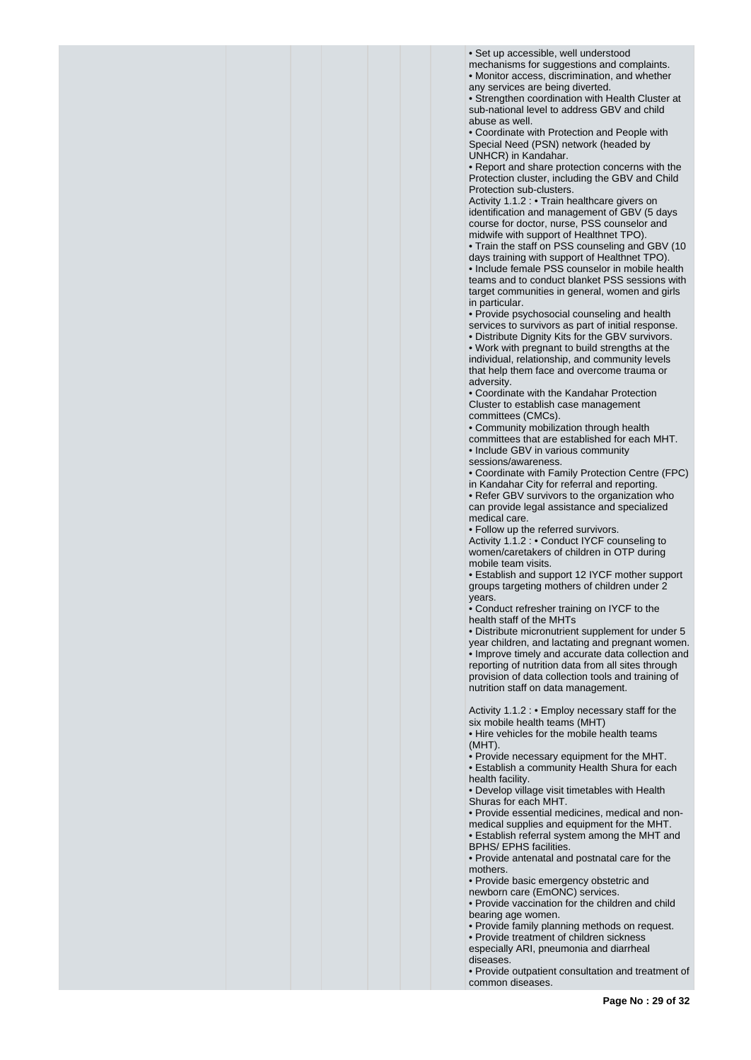• Set up accessible, well understood

mechanisms for suggestions and complaints. • Monitor access, discrimination, and whether any services are being diverted.

• Strengthen coordination with Health Cluster at sub-national level to address GBV and child abuse as well.

• Coordinate with Protection and People with Special Need (PSN) network (headed by UNHCR) in Kandahar.

• Report and share protection concerns with the Protection cluster, including the GBV and Child Protection sub-clusters.

Activity 1.1.2 : • Train healthcare givers on identification and management of GBV (5 days course for doctor, nurse, PSS counselor and midwife with support of Healthnet TPO).

• Train the staff on PSS counseling and GBV (10 days training with support of Healthnet TPO).

• Include female PSS counselor in mobile health teams and to conduct blanket PSS sessions with target communities in general, women and girls in particular.

• Provide psychosocial counseling and health services to survivors as part of initial response.

• Distribute Dignity Kits for the GBV survivors. • Work with pregnant to build strengths at the individual, relationship, and community levels that help them face and overcome trauma or adversity.

• Coordinate with the Kandahar Protection Cluster to establish case management committees (CMCs).

• Community mobilization through health

committees that are established for each MHT.

• Include GBV in various community

sessions/awareness.

• Coordinate with Family Protection Centre (FPC) in Kandahar City for referral and reporting.

• Refer GBV survivors to the organization who can provide legal assistance and specialized medical care.

• Follow up the referred survivors.

Activity 1.1.2 : • Conduct IYCF counseling to women/caretakers of children in OTP during mobile team visits.

• Establish and support 12 IYCF mother support groups targeting mothers of children under 2 years.

• Conduct refresher training on IYCF to the health staff of the MHTs

• Distribute micronutrient supplement for under 5 year children, and lactating and pregnant women. • Improve timely and accurate data collection and reporting of nutrition data from all sites through provision of data collection tools and training of nutrition staff on data management.

Activity 1.1.2 : • Employ necessary staff for the six mobile health teams (MHT)

• Hire vehicles for the mobile health teams (MHT).

• Provide necessary equipment for the MHT. • Establish a community Health Shura for each

health facility.

• Develop village visit timetables with Health Shuras for each MHT.

• Provide essential medicines, medical and nonmedical supplies and equipment for the MHT.

• Establish referral system among the MHT and BPHS/ EPHS facilities.

• Provide antenatal and postnatal care for the mothers.

• Provide basic emergency obstetric and

newborn care (EmONC) services.

• Provide vaccination for the children and child bearing age women.

• Provide family planning methods on request.

• Provide treatment of children sickness

especially ARI, pneumonia and diarrheal diseases.

• Provide outpatient consultation and treatment of common diseases.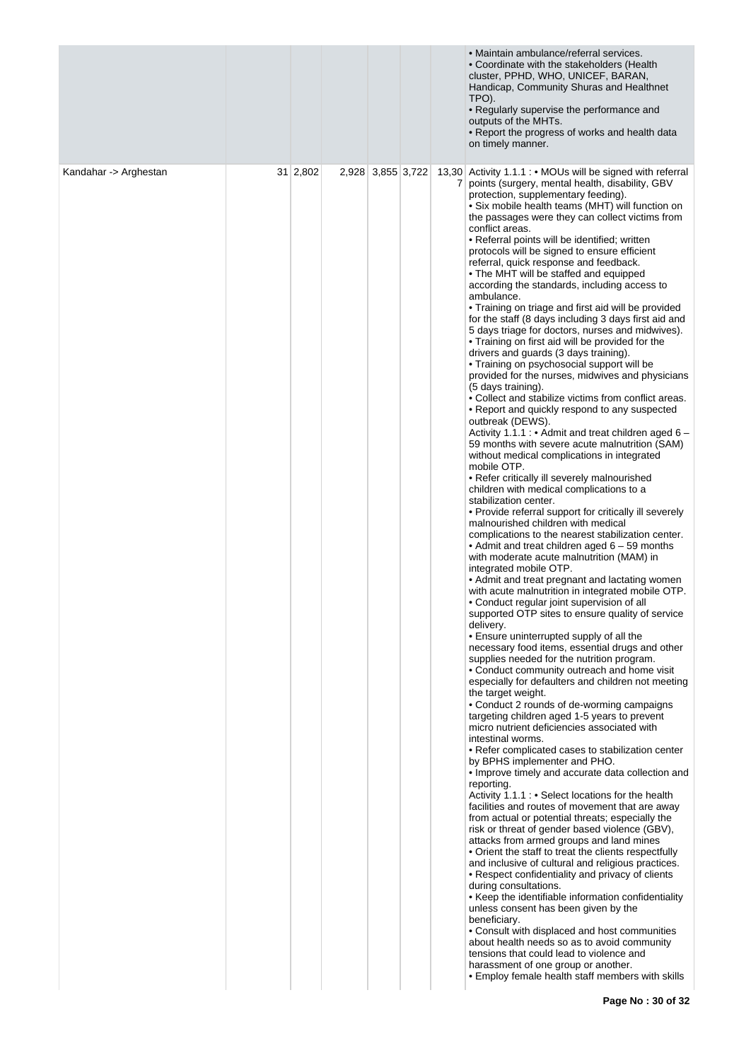|                       |                 |                   |                | • Maintain ambulance/referral services.<br>• Coordinate with the stakeholders (Health<br>cluster, PPHD, WHO, UNICEF, BARAN,<br>Handicap, Community Shuras and Healthnet<br>TPO).<br>• Regularly supervise the performance and<br>outputs of the MHTs.<br>• Report the progress of works and health data<br>on timely manner.                                                                                                                                                                                                                                                                                                                                                                                                                                                                                                                                                                                                                                                                                                                                                                                                                                                                                                                                                                                                                                                                                                                                                                                                                                                                                                                                                                                                                                                                                                                                                                                                                                                                                                                                                                                                                                                                                                                                                                                                                                                                                                                                                                                                                                                                                                                                                                                                                                                                                                                                                                                                                                                                                                                                                                                                                                                                                                                                                                 |
|-----------------------|-----------------|-------------------|----------------|----------------------------------------------------------------------------------------------------------------------------------------------------------------------------------------------------------------------------------------------------------------------------------------------------------------------------------------------------------------------------------------------------------------------------------------------------------------------------------------------------------------------------------------------------------------------------------------------------------------------------------------------------------------------------------------------------------------------------------------------------------------------------------------------------------------------------------------------------------------------------------------------------------------------------------------------------------------------------------------------------------------------------------------------------------------------------------------------------------------------------------------------------------------------------------------------------------------------------------------------------------------------------------------------------------------------------------------------------------------------------------------------------------------------------------------------------------------------------------------------------------------------------------------------------------------------------------------------------------------------------------------------------------------------------------------------------------------------------------------------------------------------------------------------------------------------------------------------------------------------------------------------------------------------------------------------------------------------------------------------------------------------------------------------------------------------------------------------------------------------------------------------------------------------------------------------------------------------------------------------------------------------------------------------------------------------------------------------------------------------------------------------------------------------------------------------------------------------------------------------------------------------------------------------------------------------------------------------------------------------------------------------------------------------------------------------------------------------------------------------------------------------------------------------------------------------------------------------------------------------------------------------------------------------------------------------------------------------------------------------------------------------------------------------------------------------------------------------------------------------------------------------------------------------------------------------------------------------------------------------------------------------------------------------|
| Kandahar -> Arghestan | $31 \mid 2,802$ | 2,928 3,855 3,722 | 7 <sup>1</sup> | 13,30 Activity 1.1.1 : • MOUs will be signed with referral<br>points (surgery, mental health, disability, GBV<br>protection, supplementary feeding).<br>• Six mobile health teams (MHT) will function on<br>the passages were they can collect victims from<br>conflict areas.<br>• Referral points will be identified; written<br>protocols will be signed to ensure efficient<br>referral, quick response and feedback.<br>. The MHT will be staffed and equipped<br>according the standards, including access to<br>ambulance.<br>• Training on triage and first aid will be provided<br>for the staff (8 days including 3 days first aid and<br>5 days triage for doctors, nurses and midwives).<br>• Training on first aid will be provided for the<br>drivers and guards (3 days training).<br>• Training on psychosocial support will be<br>provided for the nurses, midwives and physicians<br>(5 days training).<br>• Collect and stabilize victims from conflict areas.<br>• Report and quickly respond to any suspected<br>outbreak (DEWS).<br>Activity 1.1.1 : • Admit and treat children aged 6 -<br>59 months with severe acute malnutrition (SAM)<br>without medical complications in integrated<br>mobile OTP.<br>• Refer critically ill severely malnourished<br>children with medical complications to a<br>stabilization center.<br>• Provide referral support for critically ill severely<br>malnourished children with medical<br>complications to the nearest stabilization center.<br>• Admit and treat children aged $6 - 59$ months<br>with moderate acute malnutrition (MAM) in<br>integrated mobile OTP.<br>• Admit and treat pregnant and lactating women<br>with acute malnutrition in integrated mobile OTP.<br>• Conduct regular joint supervision of all<br>supported OTP sites to ensure quality of service<br>delivery.<br>• Ensure uninterrupted supply of all the<br>necessary food items, essential drugs and other<br>supplies needed for the nutrition program.<br>. Conduct community outreach and home visit<br>especially for defaulters and children not meeting<br>the target weight.<br>• Conduct 2 rounds of de-worming campaigns<br>targeting children aged 1-5 years to prevent<br>micro nutrient deficiencies associated with<br>intestinal worms.<br>• Refer complicated cases to stabilization center<br>by BPHS implementer and PHO.<br>• Improve timely and accurate data collection and<br>reporting.<br>Activity 1.1.1 : • Select locations for the health<br>facilities and routes of movement that are away<br>from actual or potential threats; especially the<br>risk or threat of gender based violence (GBV),<br>attacks from armed groups and land mines<br>• Orient the staff to treat the clients respectfully<br>and inclusive of cultural and religious practices.<br>• Respect confidentiality and privacy of clients<br>during consultations.<br>• Keep the identifiable information confidentiality<br>unless consent has been given by the<br>beneficiary.<br>• Consult with displaced and host communities<br>about health needs so as to avoid community<br>tensions that could lead to violence and<br>harassment of one group or another.<br>• Employ female health staff members with skills<br>Page No: 30 of 32 |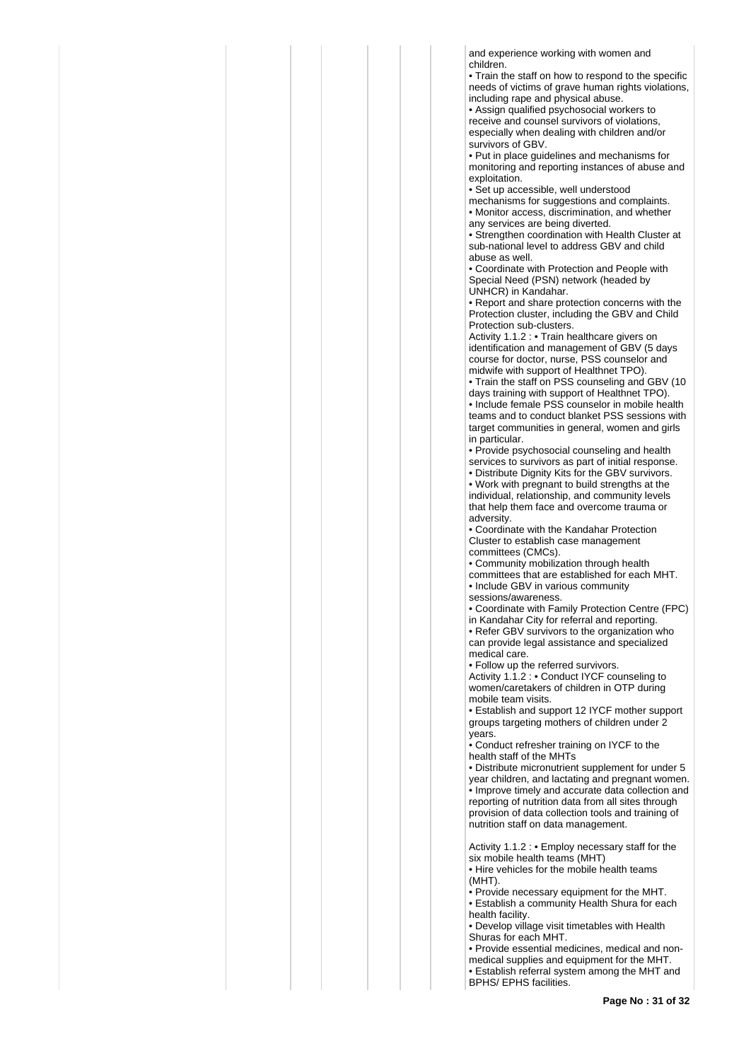and experience working with women and children.

• Train the staff on how to respond to the specific needs of victims of grave human rights violations, including rape and physical abuse.

• Assign qualified psychosocial workers to receive and counsel survivors of violations, especially when dealing with children and/or survivors of GBV.

• Put in place guidelines and mechanisms for monitoring and reporting instances of abuse and exploitation.

• Set up accessible, well understood

mechanisms for suggestions and complaints. • Monitor access, discrimination, and whether any services are being diverted.

• Strengthen coordination with Health Cluster at sub-national level to address GBV and child abuse as well.

• Coordinate with Protection and People with Special Need (PSN) network (headed by UNHCR) in Kandahar.

• Report and share protection concerns with the Protection cluster, including the GBV and Child Protection sub-clusters.

Activity 1.1.2 : • Train healthcare givers on identification and management of GBV (5 days course for doctor, nurse, PSS counselor and midwife with support of Healthnet TPO).

• Train the staff on PSS counseling and GBV (10 days training with support of Healthnet TPO). • Include female PSS counselor in mobile health teams and to conduct blanket PSS sessions with target communities in general, women and girls in particular.

• Provide psychosocial counseling and health services to survivors as part of initial response.

• Distribute Dignity Kits for the GBV survivors. • Work with pregnant to build strengths at the individual, relationship, and community levels that help them face and overcome trauma or adversity.

• Coordinate with the Kandahar Protection Cluster to establish case management committees (CMCs).

• Community mobilization through health committees that are established for each MHT.

• Include GBV in various community sessions/awareness.

• Coordinate with Family Protection Centre (FPC) in Kandahar City for referral and reporting.

• Refer GBV survivors to the organization who can provide legal assistance and specialized medical care.

• Follow up the referred survivors.

Activity 1.1.2 : • Conduct IYCF counseling to women/caretakers of children in OTP during mobile team visits.

• Establish and support 12 IYCF mother support groups targeting mothers of children under 2 years.

• Conduct refresher training on IYCF to the health staff of the MHTs

• Distribute micronutrient supplement for under 5 year children, and lactating and pregnant women. • Improve timely and accurate data collection and reporting of nutrition data from all sites through provision of data collection tools and training of nutrition staff on data management.

Activity 1.1.2 : • Employ necessary staff for the six mobile health teams (MHT)

• Hire vehicles for the mobile health teams (MHT).

• Provide necessary equipment for the MHT. • Establish a community Health Shura for each health facility.

• Develop village visit timetables with Health Shuras for each MHT.

• Provide essential medicines, medical and nonmedical supplies and equipment for the MHT. • Establish referral system among the MHT and BPHS/ EPHS facilities.

**Page No : 31 of 32**